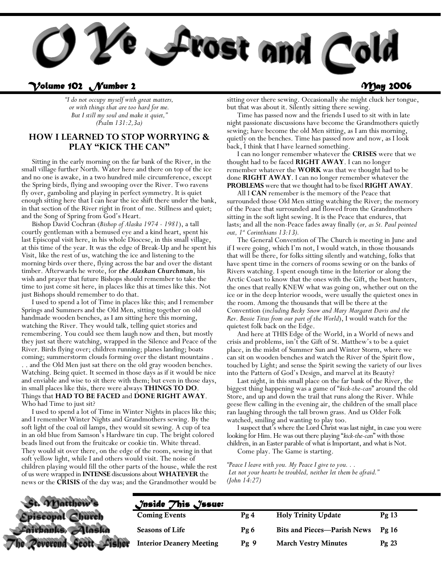

### *Volume 102 Number 2 May 2006*

*"I do not occupy myself with great matters, or with things that are too hard for me. But I still my soul and make it quiet," (Psalm 131:2,3a)* 

### **HOW I LEARNED TO STOP WORRYING & PLAY "KICK THE CAN"**

 Sitting in the early morning on the far bank of the River, in the small village further North. Water here and there on top of the ice and no one is awake, in a two hundred mile circumference, except the Spring birds, flying and swooping over the River. Two ravens fly over, gamboling and playing in perfect symmetry. It is quiet enough sitting here that I can hear the ice shift there under the bank, in that section of the River right in front of me. Stillness and quiet; and the Song of Spring from God's Heart.

 Bishop David Cochran (*Bishop of Alaska 1974 - 1981*), a tall courtly gentleman with a bemused eye and a kind heart, spent his last Episcopal visit here, in his whole Diocese, in this small village, at this time of the year. It was the edge of Break-Up and he spent his Visit, like the rest of us, watching the ice and listening to the morning birds over there, flying across the bar and over the distant timber. Afterwards he wrote, for *the Alaskan Churchman*, his wish and prayer that future Bishops should remember to take the time to just come sit here, in places like this at times like this. Not just Bishops should remember to do that.

 I used to spend a lot of Time in places like this; and I remember Springs and Summers and the Old Men, sitting together on old handmade wooden benches, as I am sitting here this morning, watching the River. They would talk, telling quiet stories and remembering. You could see them laugh now and then, but mostly they just sat there watching, wrapped in the Silence and Peace of the River. Birds flying over; children running; planes landing; boats coming; summerstorm clouds forming over the distant mountains . . . and the Old Men just sat there on the old gray wooden benches. Watching. Being quiet. It seemed in those days as if it would be nice and enviable and wise to sit there with them; but even in those days, in small places like this, there were always **THINGS TO DO**. Things that **HAD TO BE FACED** and **DONE RIGHT AWAY**. Who had Time to just sit?

 I used to spend a lot of Time in Winter Nights in places like this; and I remember Winter Nights and Grandmothers sewing. By the soft light of the coal oil lamps, they would sit sewing. A cup of tea in an old blue from Samson's Hardware tin cup. The bright colored beads lined out from the fruitcake or cookie tin. White thread. They would sit over there, on the edge of the room, sewing in that soft yellow light, while I and others would visit. The noise of children playing would fill the other parts of the house, while the rest of us were wrapped in **INTENSE** discussions about **WHATEVER** the news or the **CRISIS** of the day was; and the Grandmother would be

sitting over there sewing. Occasionally she might cluck her tongue, but that was about it. Silently sitting there sewing.

 Time has passed now and the friends I used to sit with in late night passionate discussions have become the Grandmothers quietly sewing; have become the old Men sitting, as I am this morning, quietly on the benches. Time has passed now and now, as I look back, I think that I have learned something.

 I can no longer remember whatever the **CRISES** were that we thought had to be faced **RIGHT AWAY**. I can no longer remember whatever the **WORK** was that we thought had to be done **RIGHT AWAY**. I can no longer remember whatever the

**PROBLEMS** were that we thought had to be fixed **RIGHT AWAY**. All I **CAN** remember is the memory of the Peace that surrounded those Old Men sitting watching the River; the memory of the Peace that surrounded and flowed from the Grandmothers sitting in the soft light sewing. It is the Peace that endures, that lasts; and all the non-Peace fades away finally (*or, as St. Paul pointed out, 1st Corinthians 13:13).* 

 The General Convention of The Church is meeting in June and if I were going, which I'm not, I would watch, in those thousands that will be there, for folks sitting silently and watching, folks that have spent time in the corners of rooms sewing or on the banks of Rivers watching. I spent enough time in the Interior or along the Arctic Coast to know that the ones with the Gift, the best hunters, the ones that really KNEW what was going on, whether out on the ice or in the deep Interior woods, were usually the quietest ones in the room. Among the thousands that will be there at the Convention (*including Becky Snow and Mary Margaret Davis and the Rev. Bessie Titus from our part of the World*), I would watch for the quietest folk back on the Edge.

 And here at THIS Edge of the World, in a World of news and crisis and problems, isn't the Gift of St. Matthew's to be a quiet place, in the midst of Summer Sun and Winter Storm, where we can sit on wooden benches and watch the River of the Spirit flow, touched by Light; and sense the Spirit sewing the variety of our lives into the Pattern of God's Design, and marvel at its Beauty?

 Last night, in this small place on the far bank of the River, the biggest thing happening was a game of "*kick-the-can*" around the old Store, and up and down the trail that runs along the River. While geese flew calling in the evening air, the children of the small place ran laughing through the tall brown grass. And us Older Folk watched, smiling and wanting to play too.

 I suspect that's where the Lord Christ was last night, in case you were looking for Him. He was out there playing "*kick-the-can*" with those children, in an Easter parable of what is Important, and what is Not.

Come play. The Game is starting.

*"Peace I leave with you. My Peace I give to you. . . Let not your hearts be troubled, neither let them be afraid." (John 14:27)* 

| St. Matthew's             | $\sqrt{}$ nside $\sqrt{}$ his $\sqrt{}$ ssue: |      |                                    |         |
|---------------------------|-----------------------------------------------|------|------------------------------------|---------|
| Episcopal Church          | <b>Coming Events</b>                          | Pg4  | <b>Holy Trinity Update</b>         | Pg13    |
| Cairbanks Alaska          | <b>Seasons of Life</b>                        | Pg 6 | <b>Bits and Pieces—Parish News</b> | Pg16    |
| The Peverend Scott Fisher | <b>Interior Deanery Meeting</b>               | Pg9  | <b>March Vestry Minutes</b>        | $Pg$ 23 |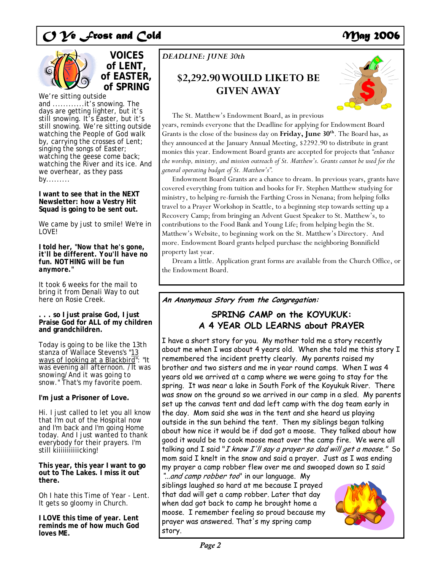



We're sitting outside and ............it's snowing. The days are getting lighter, but it's still snowing. It's Easter, but it's still snowing. We're sitting outside watching the People of God walk by, carrying the crosses of Lent; singing the songs of Easter; watching the geese come back; watching the River and its ice. And we overhear, as they pass by.........

### **I want to see that in the NEXT Newsletter: how a Vestry Hit Squad is going to be sent out.**

We came by just to smile! We're in LOVE!

**I told her, "***Now that he's gone, it'll be different. You'll have no fun. NOTHING will be fun anymore***."** 

It took 6 weeks for the mail to bring it from Denali Way to out here on Rosie Creek.

### **. . . so I just praise God, I just Praise God for ALL of my children and grandchildren.**

Today is going to be like the 13th stanza of Wallace Stevens's "13 ways of looking at a Blackbird": "*It was evening all afternoon. /It was snowing/And it was going to snow.*" That's my favorite poem.

### **I'm just a Prisoner of Love.**

Hi. I just called to let you all know that I'm out of the Hospital now and I'm back and I'm going Home today. And I just wanted to thank everybody for their prayers. I'm still kiiiiiiiiiiicking!

**This year, this year I want to go out to The Lakes. I miss it out there.** 

Oh I hate this Time of Year - Lent. It gets so gloomy in Church.

**I LOVE this time of year. Lent reminds me of how much God loves ME.** 

## *DEADLINE: JUNE 30th*

## **\$2,292.90 WOULD LIKE TO BE GIVEN AWAY**



The St. Matthew's Endowment Board, as in previous

years, reminds everyone that the Deadline for applying for Endowment Board Grants is the close of the business day on **Friday, June 30th**. The Board has, as they announced at the January Annual Meeting, \$2292.90 to distribute in grant monies this year. Endowment Board grants are accepted for projects that *"enhance the worship, ministry, and mission outreach of St. Matthew's. Grants cannot be used for the general operating budget of St. Matthew's".*

 Endowment Board Grants are a chance to dream. In previous years, grants have covered everything from tuition and books for Fr. Stephen Matthew studying for ministry, to helping re-furnish the Farthing Cross in Nenana; from helping folks travel to a Prayer Workshop in Seattle, to a beginning step towards setting up a Recovery Camp; from bringing an Advent Guest Speaker to St. Matthew's, to contributions to the Food Bank and Young Life; from helping begin the St. Matthew's Website, to beginning work on the St. Matthew's Directory. And more. Endowment Board grants helped purchase the neighboring Bonnifield property last year.

 Dream a little. Application grant forms are available from the Church Office, or the Endowment Board.

## **An Anonymous Story from the Congregation:**

## **SPRING CAMP on the KOYUKUK: A 4 YEAR OLD LEARNS about PRAYER**

I have a short story for you. My mother told me a story recently about me when I was about 4 years old. When she told me this story I remembered the incident pretty clearly. My parents raised my brother and two sisters and me in year round camps. When I was 4 years old we arrived at a camp where we were going to stay for the spring. It was near a lake in South Fork of the Koyukuk River. There was snow on the ground so we arrived in our camp in a sled. My parents set up the canvas tent and dad left camp with the dog team early in the day. Mom said she was in the tent and she heard us playing outside in the sun behind the tent. Then my siblings began talking about how nice it would be if dad got a moose. They talked about how good it would be to cook moose meat over the camp fire. We were all talking and I said "I know I'll say a prayer so dad will get a moose." So mom said I knelt in the snow and said a prayer. Just as I was ending my prayer a camp robber flew over me and swooped down so I said

"...and camp robber too" in our language. My siblings laughed so hard at me because I prayed that dad will get a camp robber. Later that day when dad got back to camp he brought home a moose. I remember feeling so proud because my prayer was answered. That's my spring camp story.

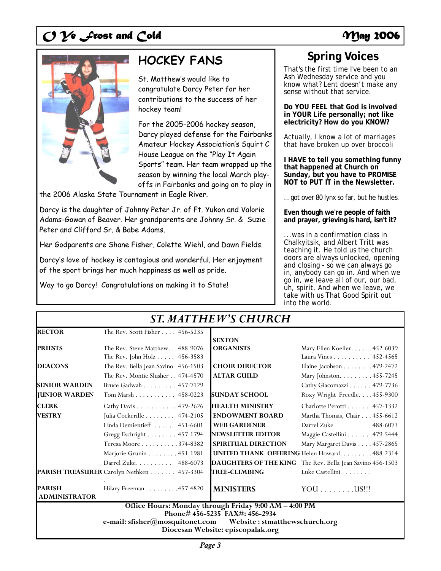

# **HOCKEY FANS Spring Voices**

St. Matthew's would like to congratulate Darcy Peter for her contributions to the success of her hockey team!

For the 2005-2006 hockey season, Darcy played defense for the Fairbanks Amateur Hockey Association's Squirt C House League on the "Play It Again Sports" team. Her team wrapped up the season by winning the local March playoffs in Fairbanks and going on to play in

the 2006 Alaska State Tournament in Eagle River.

Darcy is the daughter of Johnny Peter Jr. of Ft. Yukon and Valorie Adams-Gowan of Beaver. Her grandparents are Johnny Sr. & Suzie Peter and Clifford Sr. & Babe Adams.

Her Godparents are Shane Fisher, Colette Wiehl, and Dawn Fields.

Darcy's love of hockey is contagious and wonderful. Her enjoyment of the sport brings her much happiness as well as pride.

Way to go Darcy! Congratulations on making it to State!

That's the first time I've been to an Ash Wednesday service and you know what? Lent doesn't make any sense without that service.

**Do YOU FEEL that God is involved in YOUR Life personally; not like electricity? How do you KNOW?** 

Actually, I know a lot of marriages that have broken up over broccoli

**I HAVE to tell you something funny that happened at Church on Sunday, but you have to PROMISE NOT to PUT IT in the Newsletter.** 

… got over 80 lynx so far, but he hustles.

**Even though we're people of faith and prayer, grieving is hard, isn't it?** 

...was in a confirmation class in Chalkyitsik, and Albert Tritt was teaching it. He told us the church doors are always unlocked, opening and closing - so we can always go in, anybody can go in. And when we go in, we leave all of our, our bad, uh, spirit. And when we leave, we take with us That Good Spirit out into the world.

| <b>ST. MATTHEW'S CHURCH</b>                                                                           |                                           |                          |                                                           |
|-------------------------------------------------------------------------------------------------------|-------------------------------------------|--------------------------|-----------------------------------------------------------|
| <b>RECTOR</b>                                                                                         | The Rev. Scott Fisher 456-5235            |                          |                                                           |
|                                                                                                       |                                           | <b>SEXTON</b>            |                                                           |
| <b>PRIESTS</b>                                                                                        | The Rev. Steve Matthew. . 488-9076        | <b>ORGANISTS</b>         | Mary Ellen Koeller. 452-6039                              |
|                                                                                                       | The Rev. John Holz 456-3583               |                          | Laura Vines 452-4565                                      |
| <b>DEACONS</b>                                                                                        | The Rev. Bella Jean Savino 456-1503       | <b>CHOIR DIRECTOR</b>    | Elaine Jacobson 479-2472                                  |
|                                                                                                       | The Rev. Montie Slusher 474-4570          | <b>ALTAR GUILD</b>       | Mary Johnston. 455-7245                                   |
| <b>SENIOR WARDEN</b>                                                                                  | Bruce Gadwah 457-7129                     |                          | Cathy Giacomazzi 479-7736                                 |
| <b>IUNIOR WARDEN</b>                                                                                  | Tom Marsh 458-0223                        | <b>SUNDAY SCHOOL</b>     | Roxy Wright Freedle. 455-9300                             |
| <b>CLERK</b>                                                                                          | Cathy Davis 479-2626                      | <b>HEALTH MINISTRY</b>   | Charlotte Perotti 457-1332                                |
| <b>VESTRY</b>                                                                                         | Julia Cockerille 474-2105                 | <b>ENDOWMENT BOARD</b>   | Martha Thomas, Chair 455-6612                             |
|                                                                                                       | Linda Demientieff. 451-6601               | <b>WEB GARDENER</b>      | Darrel Zuke<br>488-6073                                   |
|                                                                                                       | Gregg Eschright 457-1794                  | <b>NEWSLETTER EDITOR</b> | Maggie Castellini 479-5444                                |
|                                                                                                       | Teresa Moore 374-8382                     | SPIRITUAL DIRECTION      | Mary Margaret Davis 457-2865                              |
|                                                                                                       | Marjorie Grunin 451-1981                  |                          | <b>UNITED THANK OFFERING Helen Howard.</b> 488-2314       |
|                                                                                                       | Darrel Zuke. 488-6073                     |                          | DAUGHTERS OF THE KING The Rev. Bella Jean Savino 456-1503 |
|                                                                                                       | PARISH TREASURER Carolyn Nethken 457-3304 | <b>TREE-CLIMBING</b>     | Luke Castellini                                           |
| <b>PARISH</b><br><b>ADMINISTRATOR</b>                                                                 | Hilary Freeman 457-4820                   | <b>MINISTERS</b>         | $YOU$ US !!!                                              |
| Office Hours: Monday through Friday 9:00 AM - 4:00 PM                                                 |                                           |                          |                                                           |
|                                                                                                       | Phone#456-5235 FAX#: 456-2934             |                          |                                                           |
| e-mail: sfisher@mosquitonet.com<br>Website: stmatthewschurch.org<br>Diocesan Website: episcopalak.org |                                           |                          |                                                           |
|                                                                                                       |                                           |                          |                                                           |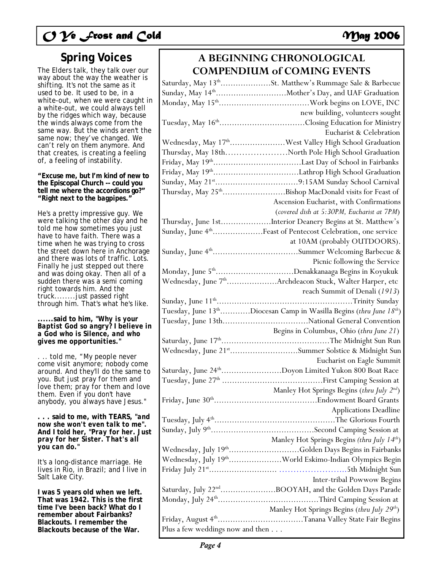The Elders talk, they talk over our way about the way the weather is shifting. It's not the same as it used to be. It used to be, in a white-out, when we were caught in a white-out, we could always tell by the ridges which way, because the winds always come from the same way. But the winds aren't the same now; they've changed. We can't rely on them anymore. And that creates, is creating a feeling of, a feeling of instability.

### **"Excuse me, but I'm kind of new to the Episcopal Church -- could you tell me where the accordions go?" "***Right next to the bagpipes***."**

He's a pretty impressive guy. We were talking the other day and he told me how sometimes you just have to have faith. There was a time when he was trying to cross the street down here in Anchorage and there was lots of traffic. Lots. Finally he just stepped out there and was doing okay. Then all of a sudden there was a semi coming right towards him. And the truck........just passed right through him. That's what he's like.

### **......said to him, "***Why is your Baptist God so angry? I believe in a God who is Silence, and who gives me opportunities.***"**

. .. told me, "*My people never come visit anymore; nobody come around. And they'll do the same to you. But just pray for them and love them; pray for them and love them. Even if you don't have anybody, you always have Jesus."* 

**. . . said to me, with TEARS, "***and now she won't even talk to me***". And I told her, "***Pray for her. Just pray for her Sister. That's all you can do."* 

It's a long-distance marriage. He lives in Rio, in Brazil; and I live in Salt Lake City.

**I was 5 years old when we left. That was 1942. This is the first time I've been back? What do I remember about Fairbanks? Blackouts. I remember the Blackouts because of the War.** 

## **Spring Voices A BEGINNING CHRONOLOGICAL COMPENDIUM of COMING EVENTS**

|                                  | Saturday, May 13 <sup>th</sup> St. Matthew's Rummage Sale & Barbecue                              |
|----------------------------------|---------------------------------------------------------------------------------------------------|
|                                  | Sunday, May 14 <sup>th</sup> Mother's Day, and UAF Graduation                                     |
|                                  |                                                                                                   |
|                                  | new building, volunteers sought                                                                   |
|                                  | Tuesday, May 16 <sup>th</sup> Closing Education for Ministry                                      |
|                                  | Eucharist & Celebration                                                                           |
|                                  | Wednesday, May 17 <sup>th</sup> West Valley High School Graduation                                |
|                                  | Thursday, May 18thNorth Pole High School Graduation                                               |
|                                  |                                                                                                   |
|                                  |                                                                                                   |
|                                  |                                                                                                   |
|                                  | Thursday, May 25 <sup>th</sup> Bishop MacDonald visits for Feast of                               |
|                                  | Ascension Eucharist, with Confirmations                                                           |
|                                  | (covered dish at 5:30PM, Eucharist at 7PM)                                                        |
|                                  | Thursday, June 1stInterior Deanery Begins at St. Matthew's                                        |
|                                  | Sunday, June 4 <sup>th</sup> Feast of Pentecost Celebration, one service                          |
|                                  | at 10AM (probably OUTDOORS).                                                                      |
|                                  | Sunday, June 4 <sup>th</sup> Summer Welcoming Barbecue &                                          |
|                                  | Picnic following the Service                                                                      |
|                                  | Monday, June $5^{\rm th}.\dots.\dots.\dots.\dots.\dots.\dots.$ Denakkanaaga Begins in Koyukuk     |
|                                  | Wednesday, June 7 <sup>th</sup> Archdeacon Stuck, Walter Harper, etc                              |
|                                  | reach Summit of Denali (1913)                                                                     |
|                                  |                                                                                                   |
|                                  |                                                                                                   |
|                                  | Tuesday, June 13 <sup>th</sup> Diocesan Camp in Wasilla Begins (thru June 18 <sup>th</sup> )      |
|                                  |                                                                                                   |
|                                  | Begins in Columbus, Ohio (thru June 21)                                                           |
|                                  |                                                                                                   |
|                                  | Wednesday, June 21 <sup>st</sup> Summer Solstice & Midnight Sun                                   |
|                                  | Eucharist on Eagle Summit                                                                         |
|                                  | Saturday, June 24 <sup>th</sup> Doyon Limited Yukon 800 Boat Race                                 |
|                                  |                                                                                                   |
|                                  | Manley Hot Springs Begins (thru July $2^{nd}$ )                                                   |
|                                  | Friday, June $30^{\rm th}.\dots.\dots.\dots.\dots.\dots.\dots.\dots.\dots$ Endowment Board Grants |
|                                  | <b>Applications Deadline</b>                                                                      |
|                                  |                                                                                                   |
|                                  |                                                                                                   |
|                                  | Manley Hot Springs Begins (thru July 14th)                                                        |
|                                  | Wednesday, July 19thGolden Days Begins in Fairbanks                                               |
|                                  | Wednesday, July 19 <sup>th</sup> World Eskimo-Indian Olympics Begin                               |
|                                  |                                                                                                   |
|                                  | Inter-tribal Powwow Begins                                                                        |
|                                  | Saturday, July 22 <sup>nd</sup> BOOYAH, and the Golden Days Parade                                |
|                                  |                                                                                                   |
|                                  | Manley Hot Springs Begins (thru July 29 <sup>th</sup> )                                           |
| Plus a few weddings now and then | Friday, August 4 <sup>th</sup> Tanana Valley State Fair Begins                                    |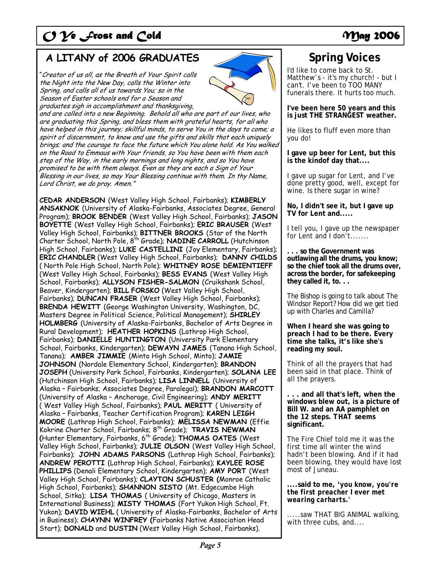## A LITANY of 2006 GRADUATES Spring Voices

"Creator of us all, as the Breath of Your Spirit calls the Night into the New Day, calls the Winter into Spring, and calls all of us towards You; so in the Season of Easter schools end for a Season and graduates sigh in accomplishment and thanksgiving,



and are called into a new Beginning. Behold all who are part of our lives, who are graduating this Spring, and bless them with grateful hearts, for all who have helped in this journey; skillful minds, to serve You in the days to come; a spirit of discernment, to know and use the gifts and skills that each uniquely brings; and the courage to face the future which You alone hold. As You walked on the Road to Emmaus with Your friends, so You have been with them each step of the Way, in the early mornings and long nights, and so You have promised to be with them always. Even as they are each a Sign of Your Blessing in our lives, so may Your Blessing continue with them. In thy Name, Lord Christ, we do pray. Amen."

**CEDAR ANDERSON** (West Valley High School, Fairbanks); **KIMBERLY ANSAKNOK** (University of Alaska-Fairbanks, Associates Degree, General Program); **BROOK BENDER** (West Valley High School, Fairbanks); **JASON BOYETTE** (West Valley High School, Fairbanks); **ERIC BRAUSER** (West Valley High School, Fairbanks); **BITTNER BROOKS** (Star of the North Charter School, North Pole, 8th Grade); **NADINE CARROLL** (Hutchinson High School, Fairbanks); **LUKE CASTELLINI** (Joy Elementary, Fairbanks); **ERIC CHANDLER** (West Valley High School, Fairbanks); **DANNY CHILDS**  ( North Pole High School, North Pole); **WHITNEY ROSE DEMIENTIEFF**  (West Valley High School, Fairbanks); **BESS EVANS** (West Valley High School, Fairbanks); **ALLYSON FISHER-SALMON** (Cruikshank School, Beaver, Kindergarten); **BILL FORSKO** (West Valley High School, Fairbanks); **DUNCAN FRASER** (West Valley High School, Fairbanks); **BRENDA HEWITT** (George Washington University, Washington, DC, Masters Degree in Political Science, Political Management); **SHIRLEY HOLMBERG** (University of Alaska-Fairbanks, Bachelor of Arts Degree in Rural Development); **HEATHER HOPKINS** (Lathrop High School, Fairbanks); **DANIELLE HUNTINGTON** (University Park Elementary School, Fairbanks, Kindergarten); **DEWAYN JAMES** (Tanana High School, Tanana); **AMBER JIMMIE** (Minto High School, Minto); **JAMIE JOHNSON** (Nordale Elementary School, Kindergarten); **BRANDON JOSEPH** (University Park School, Fairbanks, Kindergarten); **SOLANA LEE**  (Hutchinson High School, Fairbanks); **LISA LINNELL** (University of Alaska – Fairbanks; Associates Degree, Paralegal); **BRANDON MARCOTT**  (University of Alaska – Anchorage, Civil Engineering); **ANDY MERITT**  ( West Valley High School, Fairbanks); **PAUL MERITT** ( University of Alaska – Fairbanks, Teacher Certification Program); **KAREN LEIGH MOORE** (Lathrop High School, Fairbanks); **MELISSA NEWMAN** (Effie Kokrine Charter School, Fairbanks; 8th Grade); **TRAVIS NEWMAN (**Hunter Elementary, Fairbanks, 6th Grade); **THOMAS OATES** (West Valley High School, Fairbanks); **JULIE OLSON** (West Valley High School, Fairbanks); **JOHN ADAMS PARSONS** (Lathrop High School, Fairbanks); **ANDREW PEROTTI** (Lathrop High School, Fairbanks); **KAYLEE ROSE PHILLIPS** (Denali Elementary School, Kindergarten); **AMY PORT** (West Valley High School, Fairbanks); **CLAYTON SCHUSTER (**Monroe Catholic High School, Fairbanks); **SHANNON SISTO** (Mt. Edgecumbe High School, Sitka); **LISA THOMAS** ( University of Chicago, Masters in International Business); **MISTY THOMAS** (Fort Yukon High School, Ft. Yukon); **DAVID WIEHL** ( University of Alaska-Fairbanks, Bachelor of Arts in Business); **CHAYNN WINFREY (**Fairbanks Native Association Head Start); **DONALD** and **DUSTIN** (West Valley High School, Fairbanks).

I'd like to come back to St. Matthew's - it's my church! - but I can't. I've been to TOO MANY funerals there. It hurts too much.

**I've been here 50 years and this is just THE STRANGEST weather.**

He likes to fluff even more than you do!

**I gave up beer for Lent, but this is the kindof day that....** 

I gave up sugar for Lent, and I've done pretty good, well, except for wine. Is there sugar in wine?

**No, I didn't see it, but I gave up TV for Lent and.....** 

I tell you, I gave up the newspaper for Lent and I don't.......

**. . . so the Government was outlawing all the drums, you know; so the chief took all the drums over, across the border, for safekeeping they called it, to. . .** 

The Bishop is going to talk about The Windsor Report? How did we get tied up with Charles and Camilla?

**When I heard she was going to preach I had to be there. Every time she talks, it's like she's reading my soul.** 

Think of all the prayers that had been said in that place. Think of all the prayers.

**. . . and all that's left, when the windows blew out, is a picture of Bill W. and an AA pamphlet on the 12 steps.** *THAT* **seems significant.** 

The Fire Chief told me it was the first time all winter the wind hadn't been blowing. And if it had been blowing, they would have lost most of Juneau.

**....said to me, '***you know, you're the first preacher I ever met wearing carharts***.'** 

.....saw THAT BIG ANIMAL walking, with three cubs, and....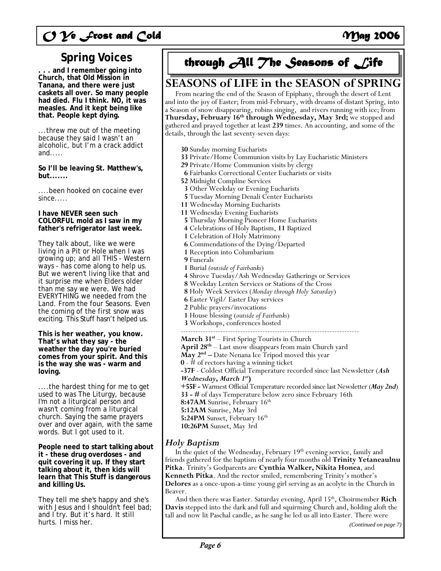## **Spring Voices**

**. . . and I remember going into Church, that Old Mission in Tanana, and there were just caskets all over. So many people had died. Flu I think. NO, it was measles. And it kept being like that. People kept dying.** 

...threw me out of the meeting because they said I wasn't an alcoholic, but I'm a crack addict and.....

**So I'll be leaving St. Matthew's, but.......** 

....been hooked on cocaine ever since.....

**I have NEVER seen such COLORFUL mold as I saw in my father's refrigerator last week.** 

They talk about, like we were living in a Pit or Hole when I was growing up; and all THIS - Western ways - has come along to help us. But we weren't living like that and it surprise me when Elders older than me say we were. We had EVERYTHING we needed from the Land. From the four Seasons. Even the coming of the first snow was exciting. This Stuff hasn't helped us.

**This is her weather, you know. That's what they say - the weather the day you're buried comes from your spirit. And this is the way she was - warm and loving.** 

....the hardest thing for me to get used to was The Liturgy, because I'm not a liturgical person and wasn't coming from a liturgical church. Saying the same prayers over and over again, with the same words. But I got used to it.

**People need to start talking about it - these drug overdoses - and quit covering it up. If they start talking about it, then kids will learn that This Stuff is dangerous and killing Us.** 

They tell me she's happy and she's with Jesus and I shouldn't feel bad; and I try. But it's hard. It still hurts. I miss her.



## **SEASONS of LIFE in the SEASON of SPRING**

 From nearing the end of the Season of Epiphany, through the desert of Lent and into the joy of Easter; from mid-February, with dreams of distant Spring, into a Season of snow disappearing, robins singing, and rivers running with ice; from **Thursday, February 16th through Wednesday, May 3rd;** we stopped and gathered and prayed together at least **239** times. An accounting, and some of the details, through the last seventy-seven days:

**30** Sunday morning Eucharists

- **33** Private/Home Communion visits by Lay Eucharistic Ministers
- **29** Private/Home Communion visits by clergy
- **6** Fairbanks Correctional Center Eucharists or visits
- **52** Midnight Compline Services
- **3** Other Weekday or Evening Eucharists
- **5** Tuesday Morning Denali Center Eucharists
- **11** Wednesday Morning Eucharists
- **11** Wednesday Evening Eucharists
	-
- **<sup>5</sup>**Thursday Morning Pioneer Home Eucharists **4** Celebrations of Holy Baptism, **11** Baptized
- **1** Celebration of Holy Matrimony
- **6** Commendations of the Dying/Departed
- **1** Reception into Columbarium
- **9** Funerals
- **1** Burial *(outside of Fairbanks*)
- **4** Shrove Tuesday/Ash Wednesday Gatherings or Services
- 
- **<sup>8</sup>** Weekday Lenten Services or Stations of the Cross **8** Holy Week Services (*Monday through Holy Saturday*)
- **6** Easter Vigil/ Easter Day services
- **2** Public prayers/invocations
- **<sup>1</sup>** House blessing (*outside of Fairbanks*) **3** Workshops, conferences hosted
- 

------------------------------------------------------------------------ **March 31st** – First Spring Tourists in Church **April 28th** – Last snow disappears from main Church yard **May 2nd –** Date Nenana Ice Tripod moved this year **0** - # of rectors having a winning ticket **-37F** - Coldest Official Temperature recorded since last Newsletter (*Ash Wednesday***,** *March 1st***) +55F -** Warmest Official Temperature recorded since last Newsletter (*May 2nd*) **33 - #** of days Temperature below zero since February 16th 8:47AM Sunrise, February 16<sup>th</sup> **5:12AM** Sunrise, May 3rd **5:24PM** Sunset, February 16<sup>th</sup> **10:26PM** Sunset, May 3rd

## *Holy Baptism*

In the quiet of the Wednesday, February 19<sup>th</sup> evening service, family and friends gathered for the baptism of nearly four months old **Trinity Yetaneaulnu Pitka**. Trinity's Godparents are **Cynthia Walker, Nikita Honea**, and **Kenneth Pitka**. And the rector smiled, remembering Trinity's mother's **Delores** as a once-upon-a-time young girl serving as an acolyte in the Church in Beaver.

And then there was Easter. Saturday evening, April 15<sup>th</sup>, Choirmember Rich **Davis** stepped into the dark and full and squirming Church and, holding aloft the tall and now lit Paschal candle, as he sang he led us all into Easter. There were

*(Continued on page 7)*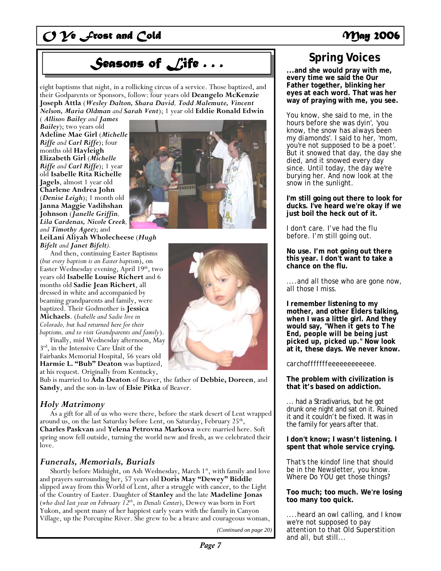# **Seasons of Life ...**  $\left| \begin{array}{c} \text{Supp } \text{supp } \text{supp } \text{supp } \text{supp } \text{supp } \text{supp } \text{supp } \text{supp } \text{supp } \text{supp } \text{supp } \text{supp } \text{supp } \text{supp } \text{supp } \text{supp } \text{supp } \text{supp } \text{supp } \text{supp } \text{supp } \text{supp } \text{supp } \text{supp } \text{supp } \text{supp } \text{supp } \text{supp } \text{supp } \text{supp } \text$

eight baptisms that night, in a rollicking circus of a service. Those baptized, and their Godparents or Sponsors, follow: four years old **Deangelo McKenzie Joseph Attla** (*Wesley Dalton, Shara David, Todd Malemute, Vincent Nelson, Maria Oldman and Sarah Vent*); 1 year old **Eddie Ronald Edwin** 

( *Allison Bailey and James Bailey*); two years old **Adeline Mae Girl** (*Michelle Riffe and Carl Riffe*); four months old **Hayleigh Elizabeth Girl** (*Michelle Riffe and Carl Riffe*); 1 year old **Isabelle Rita Richelle Jagels**, almost 1 year old **Charlene Andrea John** (*Denise Leigh*); 1 month old **Janna Maggie Vadihshan Johnson** (*Janelle Griffin, Lila Cardenas, Nicole Creek, and Timothy Agee*); and



**LeiLani Aliyah Wholecheese** (*Hugh Bifelt and Janet Bifelt).* 

 And then, continuing Easter Baptisms (*but every baptism is an Easter baptism*), on Easter Wednesday evening, April 19<sup>th</sup>, two years old **Isabelle Louise Richert** and 6 months old **Sadie Jean Richert**, all dressed in white and accompanied by beaming grandparents and family, were baptized. Their Godmother is **Jessica Michaels**. (*Isabelle and Sadie live in Colorado, but had returned here for their baptisms, and to visit Grandparents and family*).

 Finally, mid Wednesday afternoon, May 3rd, in the Intensive Care Unit of the Fairbanks Memorial Hospital, 56 years old **Harmie L. "Bub" Deaton** was baptized, at his request. Originally from Kentucky,

Bub is married to **Ada Deaton** of Beaver, the father of **Debbie, Doreen**, and **Sandy**, and the son-in-law of **Elsie Pitka** of Beaver.

### *Holy Matrimony*

As a gift for all of us who were there, before the stark desert of Lent wrapped around us, on the last Saturday before Lent, on Saturday, February 25<sup>th</sup>, **Charles Paskvan** and **Yelena Petrovna Markova** were married here. Soft spring snow fell outside, turning the world new and fresh, as we celebrated their love.

### *Funerals, Memorials, Burials*

Shortly before Midnight, on Ash Wednesday, March 1st, with family and love and prayers surrounding her, 57 years old **Doris May "Dewey" Biddle** slipped away from this World of Lent, after a struggle with cancer, to the Light of the Country of Easter. Daughter of **Stanley** and the late **Madeline Jonas** (*who died last year on February 12th*, *in Denali Center*), Dewey was born in Fort Yukon, and spent many of her happiest early years with the family in Canyon Village, up the Porcupine River. She grew to be a brave and courageous woman,

*(Continued on page 20)* 

## **Spring Voices**

**every time we said the Our Father together, blinking her eyes at each word. That was her way of praying with me, you see.** 

You know, she said to me, in the hours before she was dyin', *'you know, the snow has always been my diamonds*'. I said to her, *'mom, you're not supposed to be a poet'*. But it snowed that day, the day she died, and it snowed every day since. Until today, the day we're burying her. And now look at the snow in the sunlight.

**I'm still going out there to look for ducks. I've heard we're okay if we just boil the heck out of it.** 

I don't care. I've had the flu before. I'm still going out.

**No use. I'm not going out there this year. I don't want to take a chance on the flu.** 

....and all those who are gone now, all those I miss.

**I remember listening to my mother, and other Elders talking, when I was a little girl. And they would say, "***When it gets to The End, people will be being just picked up, picked up***." Now look at it, these days. We never know.** 

### *carchofffffffeeeeeeeeeeee.*

**The problem with civilization is that it's based on addiction.** 

... had a Stradivarius, but he got drunk one night and sat on it. Ruined it and it couldn't be fixed. It was in the family for years after that.

**I don't know; I wasn't listening. I spent that whole service crying.** 

That's the kindof line that should be in the Newsletter, you know. Where Do YOU get those things?

**Too much; too much. We're losing too many too quick.** 

....heard an owl calling, and I know we're not supposed to pay attention to that Old Superstition and all, but still...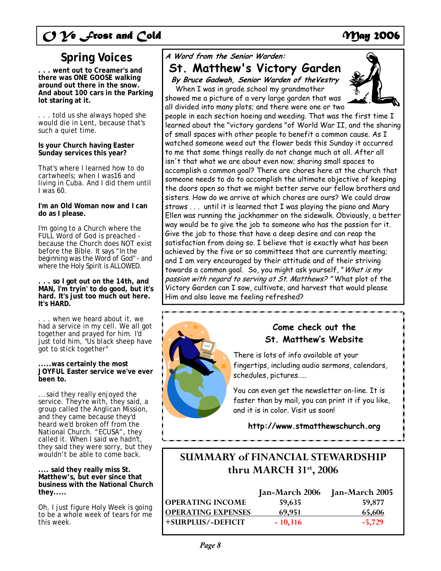# $O$   $\mathcal V$ e  $\mathcal I$ rost and Cold **May 2006**

## **Spring Voices**

**. . . went out to Creamer's and there was ONE GOOSE walking around out there in the snow. And about 100 cars in the Parking lot staring at it.** 

. . . told us she always hoped she would die in Lent, because that's such a quiet time.

**Is your Church having Easter Sunday services this year?** 

That's where I learned how to do cartwheels; when I was16 and living in Cuba. And I did them until I was 60.

**I'm an Old Woman now and I can do as I please.** 

I'm going to a Church where the FULL Word of God is preached because the Church does NOT exist before the Bible. It says "*In the beginning was the Word of God*" - and where the Holy Spirit is ALLOWED.

**. . . so I got out on the 14th, and MAN, I'm tryin' to do good, but it's hard. It's just too much out here. It's HARD.** 

. . . when we heard about it, we had a service in my cell. We all got together and prayed for him. I'd just told him, "*Us black sheep have got to stick together*"

### **.....was certainly the most JOYFUL Easter service we've ever been to.**

...said they really enjoyed the service. They're with, they said, a group called the Anglican Mission, and they came because they'd heard we'd broken off from the National Church. "*ECUSA*", they called it. When I said we hadn't, they said they were sorry, but they wouldn't be able to come back.

**.... said they really miss St. Matthew's, but ever since that business with the National Church they.....** 

Oh, I just figure Holy Week is going to be a whole week of tears for me this week.

## **A Word from the Senior Warden:**

## **St. Matthew's Victory Garden By Bruce Gadwah, Senior Warden of theVestry**

When I was in grade school my grandmother showed me a picture of a very large garden that was



people in each section hoeing and weeding. That was the first time I learned about the "victory gardens "of World War II, and the sharing of small spaces with other people to benefit a common cause. As I watched someone weed out the flower beds this Sunday it occurred to me that some things really do not change much at all. After all isn't that what we are about even now; sharing small spaces to accomplish a common goal? There are chores here at the church that someone needs to do to accomplish the ultimate objective of keeping the doors open so that we might better serve our fellow brothers and sisters. How do we arrive at which chores are ours? We could draw straws . . . until it is learned that I was playing the piano and Mary Ellen was running the jackhammer on the sidewalk. Obviously, a better way would be to give the job to someone who has the passion for it. Give the job to those that have a deep desire and can reap the satisfaction from doing so. I believe that is exactly what has been achieved by the five or so committees that are currently meeting; and I am very encouraged by their attitude and of their striving towards a common goal. So, you might ask yourself, "What is my passion with regard to serving at St. Matthews? "What plot of the Victory Garden can I sow, cultivate, and harvest that would please Him and also leave me feeling refreshed?



## **Come check out the St. Matthew's Website**

There is lots of info available at your fingertips, including audio sermons, calendars, schedules, pictures…..

You can even get the newsletter on-line. It is faster than by mail, you can print it if you like, and it is in color. Visit us soon!

**http://www.stmatthewschurch.org** 

## **SUMMARY of FINANCIAL STEWARDSHIP thru MARCH 31st, 2006**

|                           | Jan-March 2006 | Jan-March 2005 |
|---------------------------|----------------|----------------|
| <b>OPERATING INCOME</b>   | 59,635         | 59,877         |
| <b>OPERATING EXPENSES</b> | 69.951         | 65,606         |
| +SURPLUS/-DEFICIT         | $-10,316$      | $-5,729$       |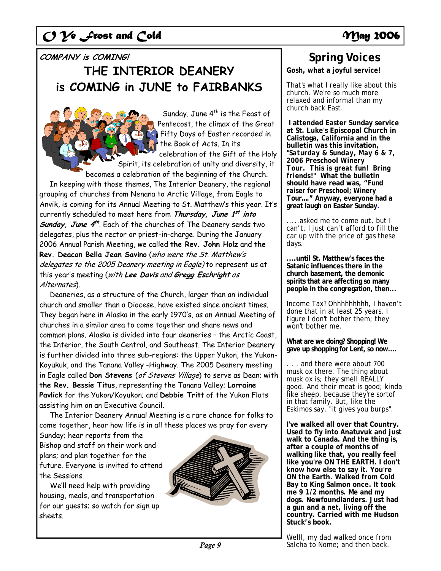### **COMPANY is COMING!**

# **THE INTERIOR DEANERY is COMING in JUNE to FAIRBANKS**

Sunday, June  $4^{th}$  is the Feast of Pentecost, the climax of the Great Fifty Days of Easter recorded in the Book of Acts. In its celebration of the Gift of the Holy Spirit, its celebration of unity and diversity, it becomes a celebration of the beginning of the Church. In keeping with those themes, The Interior Deanery, the regional grouping of churches from Nenana to Arctic Village, from Eagle to Anvik, is coming for its Annual Meeting to St. Matthew's this year. It's currently scheduled to meet here from **Thursday, June 1st into**  *Sunday, June 4<sup>th</sup>*. Each of the churches of The Deanery sends two delegates, plus the rector or priest-in-charge. During the January 2006 Annual Parish Meeting, we called **the Rev. John Holz** and **the Rev. Deacon Bella Jean Savino** (who were the St. Matthew's delegates to the 2005 Deanery meeting in Eagle) to represent us at this year's meeting (with **Lee Davis** and **Gregg Eschright** as Alternates).

 Deaneries, as a structure of the Church, larger than an individual church and smaller than a Diocese, have existed since ancient times. They began here in Alaska in the early 1970's, as an Annual Meeting of churches in a similar area to come together and share news and common plans. Alaska is divided into four deaneries – the Arctic Coast, the Interior, the South Central, and Southeast. The Interior Deanery is further divided into three sub-regions: the Upper Yukon, the Yukon-Koyukuk, and the Tanana Valley -Highway. The 2005 Deanery meeting in Eagle called **Don Stevens** (of Stevens Village) to serve as Dean; with **the Rev. Bessie Titus**, representing the Tanana Valley; **Lorraine Pavlick** for the Yukon/Koyukon; and **Debbie Tritt** of the Yukon Flats assisting him on an Executive Council.

 The Interior Deanery Annual Meeting is a rare chance for folks to come together, hear how life is in all these places we pray for every

Sunday; hear reports from the Bishop and staff on their work and plans; and plan together for the future. Everyone is invited to attend the Sessions.

 We'll need help with providing housing, meals, and transportation for our guests; so watch for sign up sheets.



## **Spring Voices**

**Gosh, what a joyful service!** 

That's what I really like about this church. We're so much more relaxed and informal than my church back East.

 **I attended Easter Sunday service at St. Luke's Episcopal Church in Calistoga, California and in the bulletin was this invitation, "***Saturday & Sunday, May 6 & 7, 2006 Preschool Winery Tour. This is great fun! Bring friends!"* **What the bulletin should have read was, "***Fund raiser for Preschool; Winery Tour…."* **Anyway, everyone had a great laugh on Easter Sunday.**

.....asked me to come out, but I can't. I just can't afford to fill the car up with the price of gas these days.

**....until St. Matthew's faces the Satanic influences there in the church basement, the demonic spirits that are affecting so many people in the congregation, then...** 

Income Tax? Ohhhhhhhhh, I haven't done that in at least 25 years. I figure I don't bother them; they won't bother me.

**What are we doing? Shopping! We gave up shopping for Lent, so now....** 

. . . and there were about 700 musk ox there. The thing about musk ox is; they smell REALLY good. And their meat is good; kinda like sheep, because they're sortof in that family. But, like the Eskimos say, "*it gives you burps".* 

**I've walked all over that Country. Used to fly into Anatuvuk and just walk to Canada. And the thing is, after a couple of months of walking like that, you really feel like you're ON THE EARTH. I don't know how else to say it. You're ON the Earth. Walked from Cold Bay to King Salmon once. It took me 9 1/2 months. Me and my dogs. Newfoundlanders. Just had a gun and a net, living off the country. Carried with me Hudson Stuck's book.** 

Welll, my dad walked once from Salcha to Nome: and then back.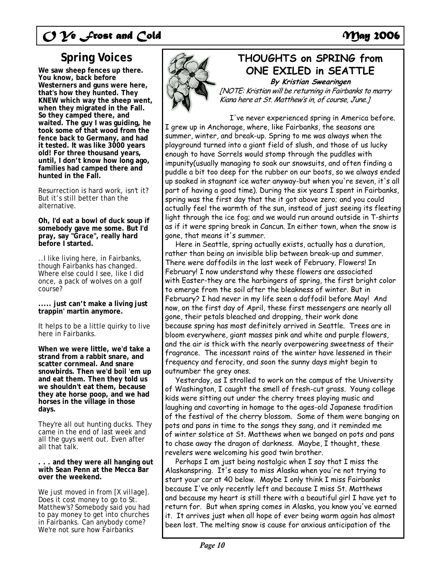# C 2<sup>o</sup> Frost and Cold **May 2006**

## **Spring Voices**

**We saw sheep fences up there. You know, back before Westerners and guns were here, that's how they hunted. They KNEW which way the sheep went, when they migrated in the Fall. So they camped there, and waited. The guy I was guiding, he took some of that wood from the fence back to Germany, and had it tested. It was like 3000 years old! For three thousand years, until, I don't know how long ago, families had camped there and hunted in the Fall.** 

Resurrection is hard work, isn't it? But it's still better than the alternative.

**Oh, I'd eat a bowl of duck soup if somebody gave me some. But I'd pray, say "***Grace***", really hard before I started.** 

..I like living here, in Fairbanks, though Fairbanks has changed. Where else could I see, like I did once, a pack of wolves on a golf course?

**..... just can't make a living just trappin' martin anymore.** 

It helps to be a little quirky to live here in Fairbanks.

**When we were little, we'd take a strand from a rabbit snare, and scatter cornmeal. And snare snowbirds. Then we'd boil 'em up and eat them. Then they told us we shouldn't eat them, because they ate horse poop, and we had horses in the village in those days.** 

They're all out hunting ducks. They came in the end of last week and all the guys went out. Even after all that talk.

**. . . and they were all hanging out with Sean Penn at the Mecca Bar over the weekend.** 

We just moved in from [*X village*]. Does it cost money to go to St. Matthew's? Somebody said you had to pay money to get into churches in Fairbanks. Can anybody come? We're not sure how Fairbanks



## **THOUGHTS on SPRING from ONE EXILED in SEATTLE**

**By Kristian Swearingen** 

[NOTE: Kristian will be returning in Fairbanks to marry Kiana here at St. Matthew's in, of course, June.]

 I've never experienced spring in America before. I grew up in Anchorage, where, like Fairbanks, the seasons are summer, winter, and break-up. Spring to me was always when the playground turned into a giant field of slush, and those of us lucky enough to have Sorrels would stomp through the puddles with impunity(usually managing to soak our snowsuits, and often finding a puddle a bit too deep for the rubber on our boots, so we always ended up soaked in stagnant ice water anyway-but when you're seven, it's all part of having a good time). During the six years I spent in Fairbanks, spring was the first day that the it got above zero; and you could actually feel the warmth of the sun, instead of just seeing its fleeting light through the ice fog; and we would run around outside in T-shirts as if it were spring break in Cancun. In either town, when the snow is gone, that means it's summer.

 Here in Seattle, spring actually exists, actually has a duration, rather than being an invisible blip between break-up and summer. There were daffodils in the last week of February. Flowers! In February! I now understand why these flowers are associated with Easter-they are the harbingers of spring, the first bright color to emerge from the soil after the bleakness of winter. But in February? I had never in my life seen a daffodil before May! And now, on the first day of April, these first messengers are nearly all gone, their petals bleached and dropping, their work done because spring has most definitely arrived in Seattle. Trees are in bloom everywhere, giant masses pink and white and purple flowers, and the air is thick with the nearly overpowering sweetness of their fragrance. The incessant rains of the winter have lessened in their frequency and ferocity, and soon the sunny days might begin to outnumber the grey ones.

 Yesterday, as I strolled to work on the campus of the University of Washington, I caught the smell of fresh-cut grass. Young college kids were sitting out under the cherry trees playing music and laughing and cavorting in homage to the ages-old Japanese tradition of the festival of the cherry blossom. Some of them were banging on pots and pans in time to the songs they sang, and it reminded me of winter solstice at St. Matthews when we banged on pots and pans to chase away the dragon of darkness. Maybe, I thought, these revelers were welcoming his good twin brother.

 Perhaps I am just being nostalgic when I say that I miss the Alaskanspring. It's easy to miss Alaska when you're not trying to start your car at 40 below. Maybe I only think I miss Fairbanks because I've only recently left and because I miss St. Matthews and because my heart is still there with a beautiful girl I have yet to return for. But when spring comes in Alaska, you know you've earned it. It arrives just when all hope of ever being warm again has almost been lost. The melting snow is cause for anxious anticipation of the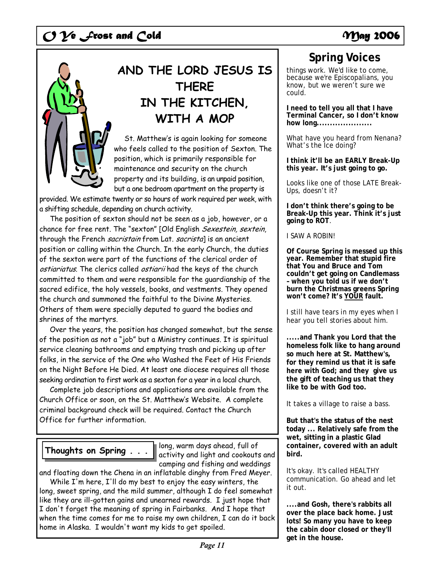

# **AND THE LORD JESUS IS THERE IN THE KITCHEN, WITH A MOP**

 St. Matthew's is again looking for someone who feels called to the position of Sexton. The position, which is primarily responsible for maintenance and security on the church property and its building, is an unpaid position, but a one bedroom apartment on the property is

provided. We estimate twenty or so hours of work required per week, with a shifting schedule, depending on church activity.

 The position of sexton should not be seen as a job, however, or a chance for free rent. The "sexton" [Old English Sexestein, sextein, through the French sacristain from Lat. sacristal is an ancient position or calling within the Church. In the early Church, the duties of the sexton were part of the functions of the clerical order of ostiariatus. The clerics called ostiarii had the keys of the church committed to them and were responsible for the guardianship of the sacred edifice, the holy vessels, books, and vestments. They opened the church and summoned the faithful to the Divine Mysteries. Others of them were specially deputed to guard the bodies and shrines of the martyrs.

 Over the years, the position has changed somewhat, but the sense of the position as not a "job" but a Ministry continues. It is spiritual service cleaning bathrooms and emptying trash and picking up after folks, in the service of the One who Washed the Feet of His Friends on the Night Before He Died. At least one diocese requires all those seeking ordination to first work as a sexton for a year in a local church.

 Complete job descriptions and applications are available from the Church Office or soon, on the St. Matthew's Website. A complete criminal background check will be required. Contact the Church Office for further information.

## **Thoughts on Spring . . .**

long, warm days ahead, full of activity and light and cookouts and camping and fishing and weddings

and floating down the Chena in an inflatable dinghy from Fred Meyer. While I'm here, I'll do my best to enjoy the easy winters, the long, sweet spring, and the mild summer, although I do feel somewhat

like they are ill-gotten gains and unearned rewards. I just hope that I don't forget the meaning of spring in Fairbanks. And I hope that when the time comes for me to raise my own children, I can do it back home in Alaska. I wouldn't want my kids to get spoiled.

## **Spring Voices**

things work. We'd like to come, because we're Episcopalians, you know, but we weren't sure we could.

**I need to tell you all that I have Terminal Cancer, so I don't know how long.....................** 

What have you heard from Nenana? What's the Ice doing?

**I think it'll be an EARLY Break-Up this year. It's just going to go.** 

Looks like one of those LATE Break-Ups, doesn't it?

**I don't think there's going to be Break-Up this year. Think it's just going to ROT**.

I SAW A ROBIN!

**Of Course Spring is messed up this year. Remember that stupid fire that You and Bruce and Tom couldn't get going on Candlemass – when you told us if we don't burn the Christmas greens Spring won't come? It's YOUR fault.** 

I still have tears in my eyes when I hear you tell stories about him.

**.....and Thank you Lord that the homeless folk like to hang around so much here at St. Matthew's, for they remind us that it is safe here with God; and they give us the gift of teaching us that they like to be with God too.** 

It takes a village to raise a bass.

**But that's the status of the nest today ... Relatively safe from the wet, sitting in a plastic Glad container, covered with an adult bird.** 

It's okay. It's called HEALTHY communication. Go ahead and let it out.

**....and Gosh, there's rabbits all over the place back home. Just lots! So many you have to keep the cabin door closed or they'll get in the house.**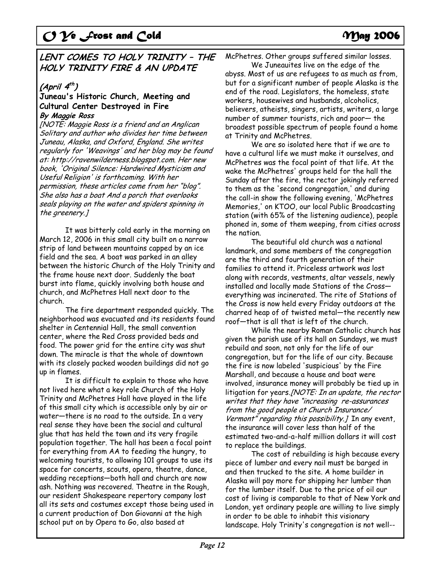## **LENT COMES TO HOLY TRINITY – THE HOLY TRINITY FIRE & AN UPDATE**

## **(April 4th )**

### **Juneau's Historic Church, Meeting and Cultural Center Destroyed in Fire By Maggie Ross**

[NOTE: Maggie Ross is a friend and an Anglican Solitary and author who divides her time between Juneau, Alaska, and Oxford, England. She writes regularly for 'Weavings' and her blog may be found at: http://ravenwilderness.blogspot.com. Her new book, 'Original Silence: Hardwired Mysticism and Useful Religion' is forthcoming. With her permission, these articles come from her "blog". She also has a boat And a porch that overlooks seals playing on the water and spiders spinning in the greenery.]

It was bitterly cold early in the morning on March 12, 2006 in this small city built on a narrow strip of land between mountains capped by an ice field and the sea. A boat was parked in an alley between the historic Church of the Holy Trinity and the frame house next door. Suddenly the boat burst into flame, quickly involving both house and church, and McPhetres Hall next door to the church.

The fire department responded quickly. The neighborhood was evacuated and its residents found shelter in Centennial Hall, the small convention center, where the Red Cross provided beds and food. The power grid for the entire city was shut down. The miracle is that the whole of downtown with its closely packed wooden buildings did not go up in flames.

It is difficult to explain to those who have not lived here what a key role Church of the Holy Trinity and McPhetres Hall have played in the life of this small city which is accessible only by air or water—there is no road to the outside. In a very real sense they have been the social and cultural glue that has held the town and its very fragile population together. The hall has been a focal point for everything from AA to feeding the hungry, to welcoming tourists, to allowing 101 groups to use its space for concerts, scouts, opera, theatre, dance, wedding receptions—both hall and church are now ash. Nothing was recovered. Theatre in the Rough, our resident Shakespeare repertory company lost all its sets and costumes except those being used in a current production of Don Giovanni at the high school put on by Opera to Go, also based at

McPhetres. Other groups suffered similar losses.

We Juneauites live on the edge of the abyss. Most of us are refugees to as much as from, but for a significant number of people Alaska is the end of the road. Legislators, the homeless, state workers, housewives and husbands, alcoholics, believers, atheists, singers, artists, writers, a large number of summer tourists, rich and poor— the broadest possible spectrum of people found a home at Trinity and McPhetres.

We are so isolated here that if we are to have a cultural life we must make it ourselves, and McPhetres was the focal point of that life. At the wake the McPhetres' groups held for the hall the Sunday after the fire, the rector jokingly referred to them as the 'second congregation,' and during the call-in show the following evening, 'McPhetres Memories,' on KTOO, our local Public Broadcasting station (with 65% of the listening audience), people phoned in, some of them weeping, from cities across the nation.

The beautiful old church was a national landmark, and some members of the congregation are the third and fourth generation of their families to attend it. Priceless artwork was lost along with records, vestments, altar vessels, newly installed and locally made Stations of the Cross everything was incinerated. The rite of Stations of the Cross is now held every Friday outdoors at the charred heap of of twisted metal—the recently new roof—that is all that is left of the church.

While the nearby Roman Catholic church has given the parish use of its hall on Sundays, we must rebuild and soon, not only for the life of our congregation, but for the life of our city. Because the fire is now labeled 'suspicious' by the Fire Marshall, and because a house and boat were involved, insurance money will probably be tied up in litigation for years.[NOTE: In an update, the rector writes that they have "increasing re-assurances from the good people at Church Insurance/ Vermont" regarding this possibility.] In any event, the insurance will cover less than half of the estimated two-and-a-half million dollars it will cost to replace the buildings.

The cost of rebuilding is high because every piece of lumber and every nail must be barged in and then trucked to the site. A home builder in Alaska will pay more for shipping her lumber than for the lumber itself. Due to the price of oil our cost of living is comparable to that of New York and London, yet ordinary people are willing to live simply in order to be able to inhabit this visionary landscape. Holy Trinity's congregation is not well--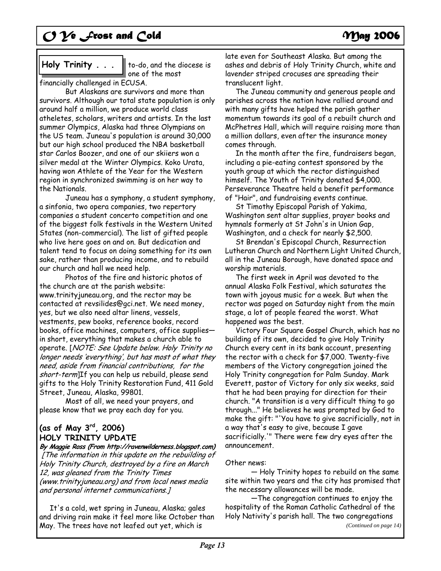## **Holy Trinity . . .**

to-do, and the diocese is one of the most

financially challenged in ECUSA.

But Alaskans are survivors and more than survivors. Although our total state population is only around half a million, we produce world class atheletes, scholars, writers and artists. In the last summer Olympics, Alaska had three Olympians on the US team. Juneau's population is around 30,000 but our high school produced the NBA basketball star Carlos Boozer, and one of our skiiers won a silver medal at the Winter Olympics. Koko Urata, having won Athlete of the Year for the Western region in synchronized swimming is on her way to the Nationals.

Juneau has a symphony, a student symphony, a sinfonia, two opera companies, two repertory companies a student concerto competition and one of the biggest folk festivals in the Western United States (non-commercial). The list of gifted people who live here goes on and on. But dedication and talent tend to focus on doing something for its own sake, rather than producing income, and to rebuild our church and hall we need help.

Photos of the fire and historic photos of the church are at the parish website: www.trinityjuneau.org, and the rector may be contacted at revsilides@gci.net. We need money, yes, but we also need altar linens, vessels, vestments, pew books, reference books, record books, office machines, computers, office supplies in short, everything that makes a church able to operate. [NOTE: See Update below. Holy Trinity no longer needs 'everything', but has most of what they need, aside from financial contributions, for the short-term]If you can help us rebuild, please send gifts to the Holy Trinity Restoration Fund, 411 Gold Street, Juneau, Alaska, 99801.

Most of all, we need your prayers, and please know that we pray each day for you.

## **(as of May 3rd, 2006) HOLY TRINITY UPDATE**

**By Maggie Ross (From http://ravenwilderness.blogspot.com)**  [The information in this update on the rebuilding of Holy Trinity Church, destroyed by a fire on March 12, was gleaned from the Trinity Times (www.trinityjuneau.org) and from local news media and personal internet communications.]

 It's a cold, wet spring in Juneau, Alaska; gales and driving rain make it feel more like October than May. The trees have not leafed out yet, which is

late even for Southeast Alaska. But among the ashes and debris of Holy Trinity Church, white and lavender striped crocuses are spreading their translucent light.

 The Juneau community and generous people and parishes across the nation have rallied around and with many gifts have helped the parish gather momentum towards its goal of a rebuilt church and McPhetres Hall, which will require raising more than a million dollars, even after the insurance money comes through.

 In the month after the fire, fundraisers began, including a pie-eating contest sponsored by the youth group at which the rector distinguished himself. The Youth of Trinity donated \$4,000. Perseverance Theatre held a benefit performance of "Hair", and fundraising events continue.

 St Timothy Episcopal Parish of Yakima, Washington sent altar supplies, prayer books and hymnals formerly at St John's in Union Gap, Washington, and a check for nearly \$2,500.

 St Brendan's Episcopal Church, Resurrection Lutheran Church and Northern Light United Church, all in the Juneau Borough, have donated space and worship materials.

 The first week in April was devoted to the annual Alaska Folk Festival, which saturates the town with joyous music for a week. But when the rector was paged on Saturday night from the main stage, a lot of people feared the worst. What happened was the best.

 Victory Four Square Gospel Church, which has no building of its own, decided to give Holy Trinity Church every cent in its bank account, presenting the rector with a check for \$7,000. Twenty-five members of the Victory congregation joined the Holy Trinity congregation for Palm Sunday. Mark Everett, pastor of Victory for only six weeks, said that he had been praying for direction for their church. "A transition is a very difficult thing to go through..." He believes he was prompted by God to make the gift: "'You have to give sacrificially, not in a way that's easy to give, because I gave sacrificially.'" There were few dry eyes after the announcement.

### Other news:

 — Holy Trinity hopes to rebuild on the same site within two years and the city has promised that the necessary allowances will be made.

 —The congregation continues to enjoy the hospitality of the Roman Catholic Cathedral of the Holy Nativity's parish hall. The two congregations *(Continued on page 14)*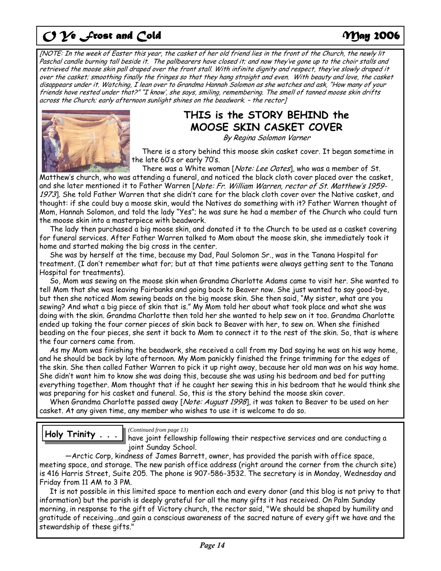[NOTE: In the week of Easter this year, the casket of her old friend lies in the front of the Church, the newly lit Paschal candle burning tall beside it. The pallbearers have closed it; and now they've gone up to the choir stalls and retrieved the moose skin pall draped over the front stall. With infinite dignity and respect, they've slowly draped it over the casket; smoothing finally the fringes so that they hang straight and even. With beauty and love, the casket disappears under it. Watching, I lean over to Grandma Hannah Solomon as she watches and ask, "How many of your friends have rested under that?" "I know', she says, smiling, remembering. The smell of tanned moose skin drifts across the Church; early afternoon sunlight shines on the beadwork. – the rector]



## **THIS is the STORY BEHIND the MOOSE SKIN CASKET COVER**

By Regina Solomon Varner

 There is a story behind this moose skin casket cover. It began sometime in the late 60's or early 70's.

There was a White woman [*Note: Lee Oates*], who was a member of St.

Matthew's church, who was attending a funeral, and noticed the black cloth cover placed over the casket, and she later mentioned it to Father Warren [Note: Fr. William Warren, rector of St. Matthew's 1959-1973]. She told Father Warren that she didn't care for the black cloth cover over the Native casket, and thought: if she could buy a moose skin, would the Natives do something with it? Father Warren thought of Mom, Hannah Solomon, and told the lady "Yes"; he was sure he had a member of the Church who could turn the moose skin into a masterpiece with beadwork.

 The lady then purchased a big moose skin, and donated it to the Church to be used as a casket covering for funeral services. After Father Warren talked to Mom about the moose skin, she immediately took it home and started making the big cross in the center.

 She was by herself at the time, because my Dad, Paul Solomon Sr., was in the Tanana Hospital for treatment. (I don't remember what for; but at that time patients were always getting sent to the Tanana Hospital for treatments).

 So, Mom was sewing on the moose skin when Grandma Charlotte Adams came to visit her. She wanted to tell Mom that she was leaving Fairbanks and going back to Beaver now. She just wanted to say good-bye, but then she noticed Mom sewing beads on the big moose skin. She then said, "My sister, what are you sewing? And what a big piece of skin that is." My Mom told her about what took place and what she was doing with the skin. Grandma Charlotte then told her she wanted to help sew on it too. Grandma Charlotte ended up taking the four corner pieces of skin back to Beaver with her, to sew on. When she finished beading on the four pieces, she sent it back to Mom to connect it to the rest of the skin. So, that is where the four corners came from.

 As my Mom was finishing the beadwork, she received a call from my Dad saying he was on his way home, and he should be back by late afternoon. My Mom panickly finished the fringe trimming for the edges of the skin. She then called Father Warren to pick it up right away, because her old man was on his way home. She didn't want him to know she was doing this, because she was using his bedroom and bed for putting everything together. Mom thought that if he caught her sewing this in his bedroom that he would think she was preparing for his casket and funeral. So, this is the story behind the moose skin cover.

When Grandma Charlotte passed away [Note: August 1998], it was taken to Beaver to be used on her casket. At any given time, any member who wishes to use it is welcome to do so.

**Holy Trinity** . . . I Continued from page 13)

have joint fellowship following their respective services and are conducting a joint Sunday School.

 —Arctic Corp, kindness of James Barrett, owner, has provided the parish with office space, meeting space, and storage. The new parish office address (right around the corner from the church site) is 416 Harris Street, Suite 205. The phone is 907-586-3532. The secretary is in Monday, Wednesday and Friday from 11 AM to 3 PM.

 It is not possible in this limited space to mention each and every donor (and this blog is not privy to that information) but the parish is deeply grateful for all the many gifts it has received. On Palm Sunday morning, in response to the gift of Victory church, the rector said, "We should be shaped by humility and gratitude of receiving...and gain a conscious awareness of the sacred nature of every gift we have and the stewardship of these gifts."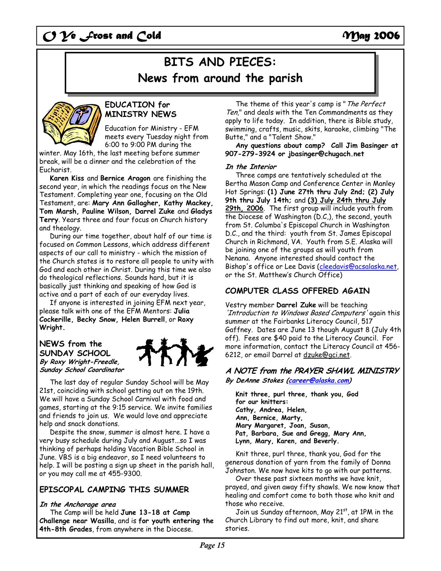# **BITS AND PIECES: News from around the parish**



### **EDUCATION for MINISTRY NEWS**

Education for Ministry - EFM meets every Tuesday night from 6:00 to 9:00 PM during the

winter. May 16th, the last meeting before summer break, will be a dinner and the celebration of the Eucharist.

**Karen Kiss** and **Bernice Aragon** are finishing the second year, in which the readings focus on the New Testament. Completing year one, focusing on the Old Testament, are: **Mary Ann Gallagher, Kathy Mackey, Tom Marsh, Pauline Wilson, Darrel Zuke** and **Gladys Terry**. Years three and four focus on Church history and theology.

 During our time together, about half of our time is focused on Common Lessons, which address different aspects of our call to ministry - which the mission of the Church states is to restore all people to unity with God and each other in Christ. During this time we also do theological reflections. Sounds hard, but it is basically just thinking and speaking of how God is active and a part of each of our everyday lives.

 If anyone is interested in joining EFM next year, please talk with one of the EFM Mentors: **Julia Cockerille, Becky Snow, Helen Burrell**, or **Roxy Wright.**

### **NEWS from the SUNDAY SCHOOL By Roxy Wright-Freedle, Sunday School Coordinator**

The last day of regular Sunday School will be May 21st, coinciding with school getting out on the 19th. We will have a Sunday School Carnival with food and games, starting at the 9:15 service. We invite families and friends to join us. We would love and appreciate help and snack donations.

 Despite the snow, summer is almost here. I have a very busy schedule during July and August...so I was thinking of perhaps holding Vacation Bible School in June. VBS is a big endeavor, so I need volunteers to help. I will be posting a sign up sheet in the parish hall, or you may call me at 455-9300.

## **EPISCOPAL CAMPING THIS SUMMER**

### **In the Anchorage area**

 The Camp will be held **June 13-18 at Camp Challenge near Wasilla**, and is **for youth entering the 4th-8th Grades**, from anywhere in the Diocese.

The theme of this year's camp is "The Perfect Ten," and deals with the Ten Commandments as they apply to life today. In addition, there is Bible study, swimming, crafts, music, skits, karaoke, climbing "The Butte," and a "Talent Show."

 **Any questions about camp? Call Jim Basinger at 907-279-3924 or jbasinger@chugach.net** 

### **In the Interior**

 Three camps are tentatively scheduled at the Bertha Mason Camp and Conference Center in Manley Hot Springs: **(1) June 27th thru July 2nd; (2) July 9th thru July 14th;** and **(3) July 24th thru July 29th, 2006**. The first group will include youth from the Diocese of Washington (D.C,), the second, youth from St. Columba's Episcopal Church in Washington D.C., and the third: youth from St. James Episcopal Church in Richmond, VA. Youth from S.E. Alaska will be joining one of the groups as will youth from Nenana. Anyone interested should contact the Bishop's office or Lee Davis (cleedavis@acsalaska.net, or the St. Matthew's Church Office)

## **COMPUTER CLASS OFFERED AGAIN**

Vestry member **Darrel Zuke** will be teaching 'Introduction to Windows Based Computers' again this summer at the Fairbanks Literacy Council, 517 Gaffney. Dates are June 13 though August 8 (July 4th off). Fees are \$40 paid to the Literacy Council. For more information, contact the Literacy Council at 456- 6212, or email Darrel at dzuke@gci.net.

### **A NOTE from the PRAYER SHAWL MINISTRY By DeAnne Stokes (career@alaska.com)**

**Knit three, purl three, thank you, God for our knitters: Cathy, Andrea, Helen, Ann, Bernice, Marty, Mary Margaret, Joan, Susan, Pat, Barbara, Sue and Gregg, Mary Ann, Lynn, Mary, Karen, and Beverly.** 

Knit three, purl three, thank you, God for the generous donation of yarn from the family of Donna Johnston. We now have kits to go with our patterns.

 Over these past sixteen months we have knit, prayed, and given away fifty shawls. We now know that healing and comfort come to both those who knit and those who receive.

Join us Sunday afternoon, May 21 $st$ , at 1PM in the Church Library to find out more, knit, and share stories.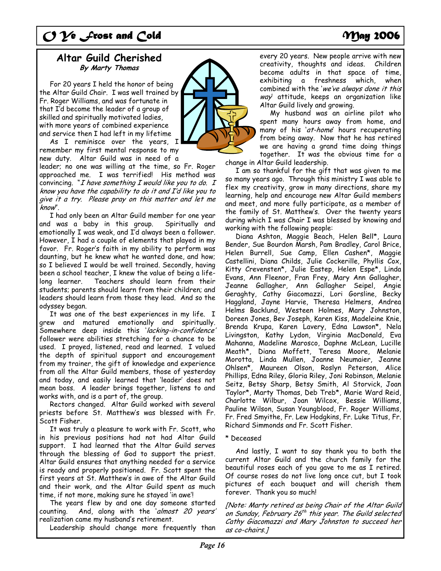## **Altar Guild Cherished By Marty Thomas**

 For 20 years I held the honor of being the Altar Guild Chair. I was well trained by Fr. Roger Williams, and was fortunate in that I'd become the leader of a group of skilled and spiritually motivated ladies, with more years of combined experience and service then I had left in my lifetime

 As I reminisce over the years, I remember my first mental response to my new duty. Altar Guild was in need of a

leader; no one was willing at the time, so Fr. Roger approached me. I was terrified! His method was convincing. " $I$  have something  $I$  would like you to do.  $I$ know you have the capability to do it and I'd like you to give it a try. Please pray on this matter and let me know".

 I had only been an Altar Guild member for one year and was a baby in this group. Spiritually and emotionally I was weak, and I'd always been a follower. However, I had a couple of elements that played in my favor. Fr. Roger's faith in my ability to perform was daunting, but he knew what he wanted done, and how; so I believed I would be well trained. Secondly, having been a school teacher, I knew the value of being a lifelong learner. Teachers should learn from their students; parents should learn from their children; and leaders should learn from those they lead. And so the odyssey began.

 It was one of the best experiences in my life. I grew and matured emotionally and spiritually. Somewhere deep inside this 'lacking-in-confidence' follower were abilities stretching for a chance to be used. I prayed, listened, read and learned. I valued the depth of spiritual support and encouragement from my trainer, the gift of knowledge and experience from all the Altar Guild members, those of yesterday and today, and easily learned that 'leader' does not mean boss. A leader brings together, listens to and works with, and is a part of, the group.

 Rectors changed. Altar Guild worked with several priests before St. Matthew's was blessed with Fr. Scott Fisher.

 It was truly a pleasure to work with Fr. Scott, who in his previous positions had not had Altar Guild support. I had learned that the Altar Guild serves through the blessing of God to support the priest. Altar Guild ensures that anything needed for a service is ready and properly positioned. Fr. Scott spent the first years at St. Matthew's in awe of the Altar Guild and their work, and the Altar Guild spent as much time, if not more, making sure he stayed 'in awe'!

 The years flew by and one day someone started counting. And, along with the 'almost 20 years' realization came my husband's retirement.

Leadership should change more frequently than



every 20 years. New people arrive with new creativity, thoughts and ideas. Children become adults in that space of time, exhibiting a freshness which, when combined with the 'we've always done it this way attitude, keeps an organization like Altar Guild lively and growing.

 My husband was an airline pilot who spent many hours away from home, and many of his 'at-home' hours recuperating from being away. Now that he has retired we are having a grand time doing things together. It was the obvious time for a change in Altar Guild leadership.

 I am so thankful for the gift that was given to me so many years ago. Through this ministry I was able to flex my creativity, grow in many directions, share my learning, help and encourage new Altar Guild members and meet, and more fully participate, as a member of the family of St. Matthew's. Over the twenty years during which I was Chair I was blessed by knowing and working with the following people:

 Diana Ashton, Maggie Beach, Helen Bell\*, Laura Bender, Sue Bourdon Marsh, Pam Bradley, Carol Brice, Helen Burrell, Sue Camp, Ellen Cashen\*, Maggie Castellini, Diana Childs, Julie Cockerille, Phyllis Cox, Kitty Crevensten\*, Julie Eastep, Helen Espe\*, Linda Evans, Ann Fleenor, Fran Frey, Mary Ann Gallagher, Jeanne Gallagher, Ann Gallagher Seipel, Angie Geraghty, Cathy Giacomazzi, Lori Gorsline, Becky Haggland, Jayne Harvie, Theresa Helmers, Andrea Helms Backlund, Westeen Holmes, Mary Johnston, Doreen Jones, Bev Joseph, Karen Kiss, Madeleine Knie, Brenda Krupa, Karen Lavery, Edna Lawson\*, Nela Livingston, Kathy Lydon, Virginia MacDonald, Eva Mahanna, Madeline Marosco, Daphne McLean, Lucille Meath\*, Diana Moffett, Teresa Moore, Melanie Morotta, Linda Mullen, Joanne Neumaier, Jeanne Ohlsen\*, Maureen Olson, Roslyn Peterson, Alice Phillips, Edna Riley, Gloria Riley, Joni Robinson, Melanie Seitz, Betsy Sharp, Betsy Smith, Al Storvick, Joan Taylor\*, Marty Thomas, Deb Treb\*, Marie Ward Reid, Charlotte Wilbur, Joan Wilcox, Bessie Williams, Pauline Wilson, Susan Youngblood, Fr. Roger Williams, Fr. Fred Smyithe, Fr. Lew Hodgkins, Fr. Luke Titus, Fr. Richard Simmonds and Fr. Scott Fisher.

### \* Deceased

 And lastly, I want to say thank you to both the current Altar Guild and the church family for the beautiful roses each of you gave to me as I retired. Of course roses do not live long once cut, but I took pictures of each bouquet and will cherish them forever. Thank you so much!

[Note: Marty retired as being Chair of the Altar Guild on Sunday, February 26<sup>th</sup> this year. The Guild selected Cathy Giacomazzi and Mary Johnston to succeed her as co-chairs.]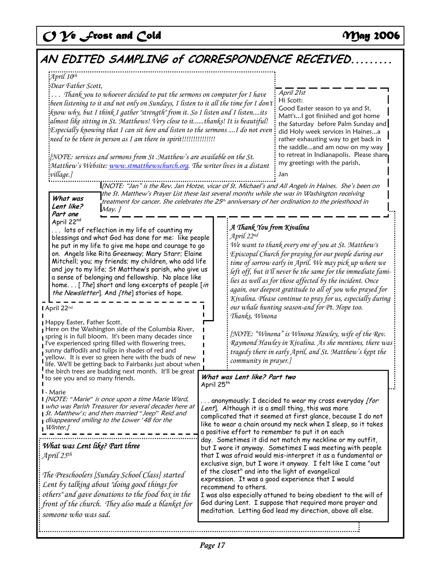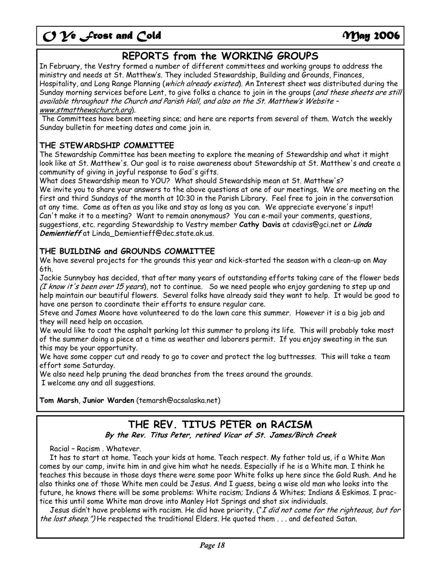## **REPORTS from the WORKING GROUPS**

In February, the Vestry formed a number of different committees and working groups to address the ministry and needs at St. Matthew's. They included Stewardship, Building and Grounds, Finances, Hospitality, and Long Range Planning (which already existed). An Interest sheet was distributed during the Sunday morning services before Lent, to give folks a chance to join in the groups (and these sheets are still available throughout the Church and Parish Hall, and also on the St. Matthew's Website – www.stmatthewschurch.org).

 The Committees have been meeting since; and here are reports from several of them. Watch the weekly Sunday bulletin for meeting dates and come join in.

## **THE STEWARDSHIP COMMITTEE**

The Stewardship Committee has been meeting to explore the meaning of Stewardship and what it might look like at St. Matthew's. Our goal is to raise awareness about Stewardship at St. Matthew's and create a community of giving in joyful response to God's gifts.

What does Stewardship mean to YOU? What should Stewardship mean at St. Matthew's? We invite you to share your answers to the above questions at one of our meetings. We are meeting on the first and third Sundays of the month at 10:30 in the Parish Library. Feel free to join in the conversation at any time. Come as often as you like and stay as long as you can. We appreciate everyone's input! Can't make it to a meeting? Want to remain anonymous? You can e-mail your comments, questions, suggestions, etc. regarding Stewardship to Vestry member **Cathy Davis** at cdavis@gci.net or **Linda Demientieff** at Linda\_Demientieff@dec.state.ak.us.

## **THE BUILDING and GROUNDS COMMITTEE**

We have several projects for the grounds this year and kick-started the season with a clean-up on May 6th.

Jackie Sunnyboy has decided, that after many years of outstanding efforts taking care of the flower beds (I know it's been over 15 years), not to continue. So we need people who enjoy gardening to step up and help maintain our beautiful flowers. Several folks have already said they want to help. It would be good to have one person to coordinate their efforts to ensure regular care.

Steve and James Moore have volunteered to do the lawn care this summer. However it is a big job and they will need help on occasion.

We would like to coat the asphalt parking lot this summer to prolong its life. This will probably take most of the summer doing a piece at a time as weather and laborers permit. If you enjoy sweating in the sun this may be your opportunity.

We have some copper cut and ready to go to cover and protect the log buttresses. This will take a team effort some Saturday.

We also need help pruning the dead branches from the trees around the grounds. I welcome any and all suggestions.

**Tom Marsh**, **Junior Warden** (temarsh@acsalaska.net)

## **THE REV. TITUS PETER on RACISM**

**By the Rev. Titus Peter, retired Vicar of St. James/Birch Creek**

Racial – Racism . Whatever.

 It has to start at home. Teach your kids at home. Teach respect. My father told us, if a White Man comes by our camp, invite him in and give him what he needs. Especially if he is a White man. I think he teaches this because in those days there were some poor White folks up here since the Gold Rush. And he also thinks one of those White men could be Jesus. And I guess, being a wise old man who looks into the future, he knows there will be some problems: White racism; Indians & Whites; Indians & Eskimos. I practice this until some White man drove into Manley Hot Springs and shot six individuals.

Jesus didn't have problems with racism. He did have priority. ("I did not come for the righteous, but for the lost sheep.") He respected the traditional Elders. He quoted them . . . and defeated Satan.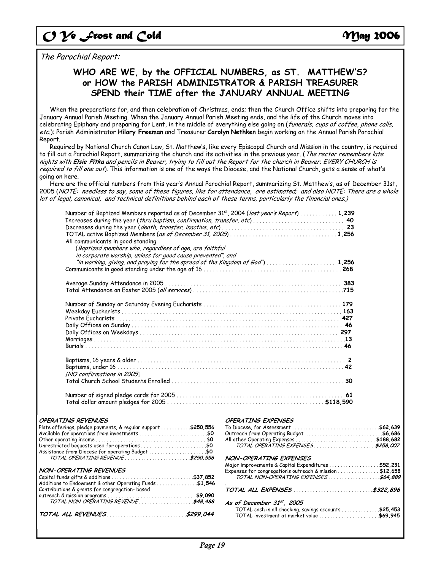The Parochial Report:

## **WHO ARE WE, by the OFFICIAL NUMBERS, as ST. MATTHEW'S? or HOW the PARISH ADMINISTRATOR & PARISH TREASURER SPEND their TIME after the JANUARY ANNUAL MEETING**

 When the preparations for, and then celebration of Christmas, ends; then the Church Office shifts into preparing for the January Annual Parish Meeting. When the January Annual Parish Meeting ends, and the life of the Church moves into celebrating Epiphany and preparing for Lent, in the middle of everything else going on (funerals, cups of coffee, phone calls, etc.); Parish Administrator **Hilary Freeman** and Treasurer **Carolyn Nethken** begin working on the Annual Parish Parochial Report.

 Required by National Church Canon Law, St. Matthew's, like every Episcopal Church and Mission in the country, is required to fill out a Parochial Report, summarizing the church and its activities in the previous year. (*The rector remembers late* nights with **Elsie Pitka** and pencils in Beaver, trying to fill out the Report for the church in Beaver. EVERY CHURCH is required to fill one out). This information is one of the ways the Diocese, and the National Church, gets a sense of what's going on here.

 Here are the official numbers from this year's Annual Parochial Report, summarizing St. Matthew's, as of December 31st, 2005 (NOTE: needless to say, some of these figures, like for attendance, are estimated; and also NOTE: There are a whole lot of legal, canonical, and technical definitions behind each of these terms, particularly the financial ones.)

| Number of Baptized Members reported as of December 31 <sup>st</sup> , 2004 (last year's Report) 1,239<br>Increases during the year (thru baptism, confirmation, transfer, etc)  40<br>All communicants in good standing<br>(Baptized members who, regardless of age, are faithful<br>in corporate worship, unless for good cause prevented", and |  |
|--------------------------------------------------------------------------------------------------------------------------------------------------------------------------------------------------------------------------------------------------------------------------------------------------------------------------------------------------|--|
|                                                                                                                                                                                                                                                                                                                                                  |  |
|                                                                                                                                                                                                                                                                                                                                                  |  |
|                                                                                                                                                                                                                                                                                                                                                  |  |
|                                                                                                                                                                                                                                                                                                                                                  |  |
|                                                                                                                                                                                                                                                                                                                                                  |  |
|                                                                                                                                                                                                                                                                                                                                                  |  |
|                                                                                                                                                                                                                                                                                                                                                  |  |
|                                                                                                                                                                                                                                                                                                                                                  |  |
|                                                                                                                                                                                                                                                                                                                                                  |  |
|                                                                                                                                                                                                                                                                                                                                                  |  |
| [NO confirmations in 2005]                                                                                                                                                                                                                                                                                                                       |  |
|                                                                                                                                                                                                                                                                                                                                                  |  |
|                                                                                                                                                                                                                                                                                                                                                  |  |
|                                                                                                                                                                                                                                                                                                                                                  |  |

### **OPED ATTAIC DEVENUES**

| Plate offerings, pledge payments, & regular support \$250,556<br>Available for operations from investments \$0<br>Unrestricted bequests used for operations \$0<br>Assistance from Diocese for operating Budget \$0<br>TOTAL OPERATING REVENUE \$250,556 |  |
|----------------------------------------------------------------------------------------------------------------------------------------------------------------------------------------------------------------------------------------------------------|--|
| NON-OPERATING REVENUES<br>Additions to Endowment & other Operating Funds \$1,546<br>Contributions & grants for congregation- based                                                                                                                       |  |
|                                                                                                                                                                                                                                                          |  |
|                                                                                                                                                                                                                                                          |  |

### **OPERATING EXPENSES**

| 0utreach from Operating Budget \$6,686                  |  |
|---------------------------------------------------------|--|
| All other Operating Expenses \$188,682                  |  |
| TOTAL OPERATING EXPENSES\$258,007                       |  |
| NON-OPERATING EXPENSES                                  |  |
| Major improvements & Capital Expenditures \$52,231      |  |
| Expenses for congregation's outreach & mission \$12,658 |  |
| TOTAL NON-OPERATING EXPENSES\$64,889                    |  |
|                                                         |  |
| As of December $31^{st}$ , 2005                         |  |
| TOTAL cash in all checking, savings accounts \$25,453   |  |
| TOTAL investment at market value \$69,945               |  |
|                                                         |  |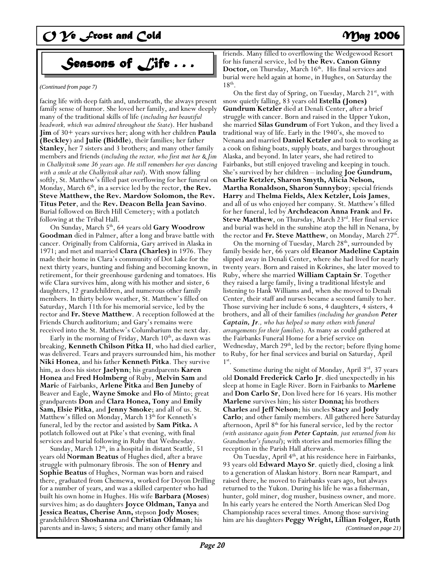# *Seasons of Life . . .*

*(Continued from page 7)* 

facing life with deep faith and, underneath, the always present family sense of humor. She loved her family, and knew deeply many of the traditional skills of life (*including her beautiful beadwork, which was admired throughout the State*). Her husband **Jim** of 30+ years survives her; along with her children **Paula (Beckley**) and **Julie (Biddle**), their families; her father **Stanley**, her 7 sisters and 3 brothers; and many other family members and friends (*including the rector, who first met her & Jim in Chalkyitsik some 36 years ago. He still remembers her eyes dancing with a smile at the Chalkyitsik altar rail*). With snow falling softly, St. Matthew's filled past overflowing for her funeral on Monday, March 6<sup>th</sup>, in a service led by the rector, **the Rev. Steve Matthew, the Rev. Mardow Solomon, the Rev. Titus Peter**, and the **Rev. Deacon Bella Jean Savino**. Burial followed on Birch Hill Cemetery; with a potlatch following at the Tribal Hall.

On Sunday, March 5<sup>th</sup>, 64 years old Gary Woodrow **Goodman** died in Palmer, after a long and brave battle with cancer. Originally from California, Gary arrived in Alaska in 1971; and met and married **Clara (Charles)** in 1976. They made their home in Clara's community of Dot Lake for the next thirty years, hunting and fishing and becoming known, in retirement, for their greenhouse gardening and tomatoes. His wife Clara survives him, along with his mother and sister, 6 daughters, 12 grandchildren, and numerous other family members. In thirty below weather, St. Matthew's filled on Saturday, March 11th for his memorial service, led by the rector and **Fr. Steve Matthew**. A reception followed at the Friends Church auditorium; and Gary's remains were received into the St. Matthew's Columbarium the next day.

Early in the morning of Friday, March  $10<sup>th</sup>$ , as dawn was breaking, **Kenneth Chilson Pitka II**, who had died earlier, was delivered. Tears and prayers surrounded him, his mother **Niki Honea**, and his father **Kennet**h **Pitka**. They survive him, as does his sister **Jaelynn**; his grandparents **Karen Honea** and **Fred Holmberg** of Ruby, **Melvin Sam** and **Mari**e of Fairbanks, **Arlene Pitka** and **Ben Juneby** of Beaver and Eagle, **Wayne Smoke** and **Flo** of Minto; great grandparents **Don** and **Clara Honea, Tony** and **Emily Sam, Elsie Pitka**, and **Jenny Smoke**; and all of us. St. Matthew's filled on Monday, March 13<sup>th</sup> for Kenneth's funeral, led by the rector and assisted by **Sam Pitka.** A potlatch followed out at Pike's that evening, with final services and burial following in Ruby that Wednesday.

Sunday, March 12<sup>th</sup>, in a hospital in distant Seattle, 51 years old **Norman Beatus** of Hughes died, after a brave struggle with pulmonary fibrosis. The son of **Henry** and **Sophie Beatus** of Hughes, Norman was born and raised there, graduated from Chemewa, worked for Doyon Drilling for a number of years, and was a skilled carpenter who had built his own home in Hughes. His wife **Barbara (Moses**) survives him; as do daughters **Joyce Oldman, Tanya** and **Jessica Beatus, Cherise Ann,** stepson **Jody Moses**; grandchildren **Shoshanna** and **Christian Oldman**; his parents and in-laws; 5 sisters; and many other family and

friends. Many filled to overflowing the Wedgewood Resort for his funeral service, led by **the Rev. Canon Ginny Doctor,** on Thursday, March 16<sup>th</sup>. His final services and burial were held again at home, in Hughes, on Saturday the  $18<sup>th</sup>$ .<br>On the first day of Spring, on Tuesday, March 21<sup>st</sup>, with

snow quietly falling, 83 years old **Estella (Jones) Gundrum Ketzler** died at Denali Center, after a brief struggle with cancer. Born and raised in the Upper Yukon, she married **Silas Gundrum** of Fort Yukon, and they lived a traditional way of life. Early in the 1940's, she moved to Nenana and married **Daniel Ketzler** and took to working as a cook on fishing boats, supply boats, and barges throughout Alaska, and beyond. In later years, she had retired to Fairbanks, but still enjoyed traveling and keeping in touch. She's survived by her children – including **Joe Gundrum, Charlie Ketzler, Sharon Smyth, Alicia Nelson, Martha Ronaldson, Sharon Sunnyboy**; special friends **Harry** and **Thelma Fields, Alex Ketzler, Lois James**, and all of us who enjoyed her company. St. Matthew's filled for her funeral, led by **Archdeacon Anna Frank** and **Fr.**  Steve Matthew, on Thursday, March 23<sup>rd</sup>. Her final service and burial was held in the sunshine atop the hill in Nenana, by the rector and **Fr. Steve Matthew**, on Monday, March 27<sup>th</sup>.

On the morning of Tuesday, March 28<sup>th</sup>, surrounded by family beside her, 66 years old **Eleanor Madeline Captain** slipped away in Denali Center, where she had lived for nearly twenty years. Born and raised in Kokrines, she later moved to Ruby, where she married **William Captain Sr**. Together they raised a large family, living a traditional lifestyle and listening to Hank Williams and, when she moved to Denali Center, their staff and nurses became a second family to her. Those surviving her include 6 sons, 4 daughters, 4 sisters, 4 brothers, and all of their families *(including her grandson Peter Captain, Jr., who has helped so many others with funeral arrangements for their families*). As many as could gathered at the Fairbanks Funeral Home for a brief service on Wednesday, March 29<sup>th</sup>, led by the rector; before flying home to Ruby, for her final services and burial on Saturday, April  $1^{\rm st}$ .

Sometime during the night of Monday, April 3<sup>rd</sup>, 37 years old **Donald Frederick Carlo Jr**. died unexpectedly in his sleep at home in Eagle River. Born in Fairbanks to **Marlene** and **Don Carlo Sr**, Don lived here for 16 years. His mother **Marlene** survives him; his sister **Donna;** his brothers **Charles** and **Jeff Nelson**; his uncles **Stacy** and **Jody Carlo**; and other family members. All gathered here Saturday afternoon, April 8<sup>th</sup> for his funeral service, led by the rector *(with assistance again from Peter Captain, just returned from his Grandmother's funeral*); with stories and memories filling the reception in the Parish Hall afterwards.

On Tuesday, April 4<sup>th</sup>, at his residence here in Fairbanks, 93 years old **Edward Mayo Sr**. quietly died, closing a link to a generation of Alaskan history. Born near Rampart, and raised there, he moved to Fairbanks years ago, but always returned to the Yukon. During his life he was a fisherman, hunter, gold miner, dog musher, business owner, and more. In his early years he entered the North American Sled Dog Championship races several times. Among those surviving him are his daughters **Peggy Wright, Lillian Folger, Ruth**  *(Continued on page 21)*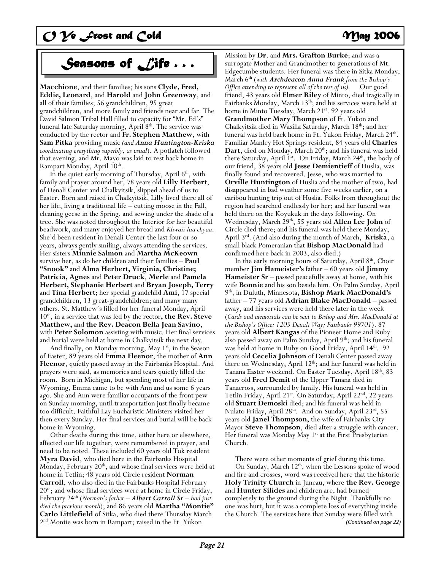# *Seasons of Life . . .*

**Macchione**, and their families; his sons **Clyde, Fred, Eddie, Leonard**, and **Harold** and **John Greenway**, and all of their families; 56 grandchildren, 95 great grandchildren, and more family and friends near and far. The David Salmon Tribal Hall filled to capacity for "Mr. Ed's" funeral late Saturday morning, April  $8<sup>th</sup>$ . The service was conducted by the rector and **Fr. Stephen Matthew**, with **Sam Pitka** providing music *(and Anna Huntington-Kriska coordinating everything superbly, as usual*). A potlatch followed that evening, and Mr. Mayo was laid to rest back home in Rampart Monday, April 10<sup>th</sup>.

In the quiet early morning of Thursday, April 6<sup>th</sup>, with family and prayer around her, 78 years old **Lilly Herbert**, of Denali Center and Chalkyitsik, slipped ahead of us to Easter. Born and raised in Chalkyitsik, Lilly lived there all of her life, living a traditional life – cutting moose in the Fall, cleaning geese in the Spring, and sewing under the shade of a tree. She was noted throughout the Interior for her beautiful beadwork, and many enjoyed her bread and *Khwaii luu chyaa*. She'd been resident in Denali Center the last four or so years, always gently smiling, always attending the services. Her sisters **Minnie Salmon** and **Martha McKeown** survive her, as do her children and their families – **Paul "Snook"** and **Alma Herbert, Virginia, Christine; Patricia, Agnes** and **Peter Druck**, **Merle** and **Pamela Herbert, Stephanie Herbert** and **Bryan Joseph, Terry** and **Tina Herbert**; her special grandchild **Ami**, 17 special grandchildren, 13 great-grandchildren; and many many others. St. Matthew's filled for her funeral Monday, April 10th, in a service that was led by the rector**, the Rev. Steve Matthew,** and **the Rev. Deacon Bella Jean Savino**, with **Peter Solomon** assisting with music. Her final services and burial were held at home in Chalkyitsik the next day.

And finally, on Monday morning, May  $1<sup>st</sup>$ , in the Season of Easter, 89 years old **Emma Fleenor**, the mother of **Ann Fleenor**, quietly passed away in the Fairbanks Hospital. And prayers were said, as memories and tears quietly filled the room. Born in Michigan, but spending most of her life in Wyoming, Emma came to be with Ann and us some 6 years ago. She and Ann were familiar occupants of the front pew on Sunday morning, until transportation just finally became too difficult. Faithful Lay Eucharistic Ministers visited her then every Sunday. Her final services and burial will be back home in Wyoming.

 Other deaths during this time, either here or elsewhere, affected our life together, were remembered in prayer, and need to be noted. These included 60 years old Tok resident **Myra David**, who died here in the Fairbanks Hospital Monday, February  $20<sup>th</sup>$ , and whose final services were held at home in Tetlin; 48 years old Circle resident **Norman Carroll**, who also died in the Fairbanks Hospital February  $20<sup>th</sup>$ ; and whose final services were at home in Circle Friday, February 24th (*Norman's father – Albert Carroll Sr – had just died the previous month*); and 86 years old **Martha "Montie" Carlo Littlefield** of Sitka, who died there Thursday March 2nd.Montie was born in Rampart; raised in the Ft. Yukon

Mission by **Dr**. and **Mrs. Grafton Burke**; and was a surrogate Mother and Grandmother to generations of Mt. Edgecumbe students. Her funeral was there in Sitka Monday, March 6th (*with Archdeacon Anna Frank from the Bishop's Office attending to represent all of the rest of us).* Our good friend, 43 years old **Elmer Riley** of Minto, died tragically in Fairbanks Monday, March 13<sup>th</sup>; and his services were held at home in Minto Tuesday, March 21st. 92 years old **Grandmother Mary Thompson** of Ft. Yukon and Chalkyitsik died in Wasilla Saturday, March 18th; and her funeral was held back home in Ft. Yukon Friday, March 24<sup>th</sup>. Familiar Manley Hot Springs resident, 84 years old **Charles**  Dart, died on Monday, March 20<sup>th</sup>; and his funeral was held there Saturday, April 1<sup>st</sup>. On Friday, March 24<sup>th</sup>, the body of our friend, 38 years old **Jesse Demientieff** of Huslia, was finally found and recovered. Jesse, who was married to **Orville Huntington** of Huslia and the mother of two, had disappeared in bad weather some five weeks earlier, on a caribou hunting trip out of Huslia. Folks from throughout the region had searched endlessly for her; and her funeral was held there on the Koyukuk in the days following. On Wednesday, March 29<sup>th</sup>, 55 years old Allen Lee John of Circle died there; and his funeral was held there Monday, April 3rd. (And also during the month of March, **Kriska**, a small black Pomeranian that **Bishop MacDonald** had confirmed here back in 2003, also died.)

In the early morning hours of Saturday, April 8<sup>th</sup>, Choir member **Jim Hameister's** father – 60 years old **Jimmy Hameister Sr** – passed peacefully away at home, with his wife **Bonnie** and his son beside him. On Palm Sunday, April 9th, in Duluth, Minnesota**, Bishop Mark MacDonald's**  father – 77 years old **Adrian Blake MacDonald** – passed away, and his services were held there later in the week (*Cards and memorials can be sent to Bishop and Mrs. MacDonald at the Bishop's Office: 1205 Denali Way; Fairbanks 99701*). 87 years old **Albert Kangas** of the Pioneer Home and Ruby also passed away on Palm Sunday, April  $9<sup>th</sup>$ ; and his funeral was held at home in Ruby on Good Friday, April 14<sup>th</sup>. 92 years old **Cecelia Johnson** of Denali Center passed away there on Wednesday, April 12<sup>th</sup>; and her funeral was held in Tanana Easter weekend. On Easter Tuesday, April 18th, 83 years old **Fred Demit** of the Upper Tanana died in Tanacross, surrounded by family. His funeral was held in Tetlin Friday, April 21st. On Saturday, April 22nd, 22 years old **Stuart Demoski** died; and his funeral was held in Nulato Friday, April 28<sup>th</sup>. And on Sunday, April 23<sup>rd</sup>, 55 years old **Janel Thompson,** the wife of Fairbanks City Mayor **Steve Thompson**, died after a struggle with cancer. Her funeral was Monday May  $1<sup>st</sup>$  at the First Presbyterian Church.

 There were other moments of grief during this time. On Sunday, March  $12<sup>th</sup>$ , when the Lessons spoke of wood and fire and crosses, word was received here that the historic **Holy Trinity Church** in Juneau, where **the Rev. George**  and **Hunter Silides** and children are, had burned completely to the ground during the Night. Thankfully no one was hurt, but it was a complete loss of everything inside the Church. The services here that Sunday were filled with *(Continued on page 22)*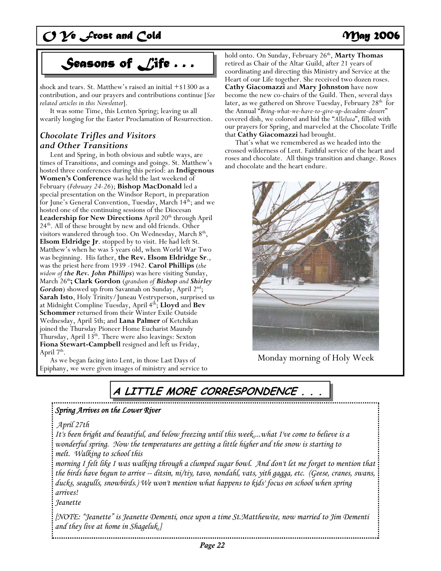# *Seasons of Life . . .*

shock and tears. St. Matthew's raised an initial  $+$ \$1300 as a contribution, and our prayers and contributions continue [*See related articles in this Newsletter*].

 It was some Time, this Lenten Spring; leaving us all wearily longing for the Easter Proclamation of Resurrection.

## *Chocolate Trifles and Visitors and Other Transitions*

 Lent and Spring, in both obvious and subtle ways, are times of Transitions, and comings and goings. St. Matthew's hosted three conferences during this period: an **Indigenous Women's Conference** was held the last weekend of February (*February 24-26*); **Bishop MacDonald** led a special presentation on the Windsor Report, in preparation for June's General Convention, Tuesday, March 14<sup>th</sup>; and we hosted one of the continuing sessions of the Diocesan Leadership for New Directions April 20<sup>th</sup> through April 24th. All of these brought by new and old friends. Other visitors wandered through too. On Wednesday, March 8<sup>th</sup>, **Elsom Eldridge Jr**. stopped by to visit. He had left St. Matthew's when he was 5 years old, when World War Two was beginning. His father, **the Rev. Elsom Eldridge Sr**., was the priest here from 1939 -1942. **Carol Phillips** (*the widow of the Rev. John Phillips*) was here visiting Sunday, March 26th**; Clark Gordon** (*grandson of Bishop and Shirley* Gordon) showed up from Savannah on Sunday, April 2<sup>nd</sup>; **Sarah Isto**, Holy Trinity/Juneau Vestryperson, surprised us at Midnight Compline Tuesday, April 4th; **Lloyd** and **Bev Schommer** returned from their Winter Exile Outside Wednesday, April 5th; and **Lana Palmer** of Ketchikan joined the Thursday Pioneer Home Eucharist Maundy Thursday, April 13<sup>th</sup>. There were also leavings: Sexton **Fiona Stewart-Campbell** resigned and left us Friday, April  $7<sup>th</sup>$ .

 As we began facing into Lent, in those Last Days of Epiphany, we were given images of ministry and service to hold onto. On Sunday, February 26<sup>th</sup>, Marty Thomas retired as Chair of the Altar Guild, after 21 years of coordinating and directing this Ministry and Service at the Heart of our Life together. She received two dozen roses. **Cathy Giacomazzi** and **Mary Johnston** have now become the new co-chairs of the Guild. Then, several days later, as we gathered on Shrove Tuesday, February 28<sup>th</sup> for the Annual "*Bring-what-we-have-to-give-up-decadent-dessert*" covered dish, we colored and hid the "*Alleluia*", filled with our prayers for Spring, and marveled at the Chocolate Trifle that **Cathy Giacomazzi** had brought.

 That's what we remembered as we headed into the crossed wilderness of Lent. Faithful service of the heart and roses and chocolate. All things transition and change. Roses and chocolate and the heart endure.



Monday morning of Holy Week

# **A LITTLE MORE CORRESPONDENCE . . .**

## *Spring Arrives on the Lower River*

 *April 27th* 

*It's been bright and beautiful, and below freezing until this week....what I've come to believe is a wonderful spring. Now the temperatures are getting a little higher and the snow is starting to melt. Walking to school this* 

*morning I felt like I was walking through a clumped sugar bowl. And don't let me forget to mention that the birds have begun to arrive -- ditsin, ni/tiy, tavo, nondahl, vats, yith gagga, etc. (Geese, cranes, swans, ducks, seagulls, snowbirds.) We won't mention what happens to kids' focus on school when spring arrives!* 

*Jeanette* 

*[NOTE: "Jeanette" is Jeanette Dementi, once upon a time St.Matthewite, now married to Jim Dementi and they live at home in Shageluk.]*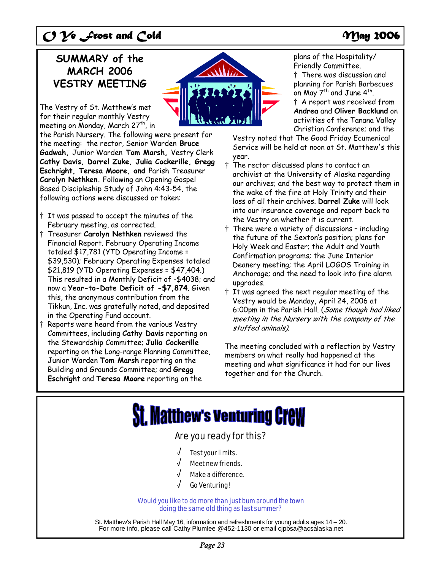## **SUMMARY of the MARCH 2006 VESTRY MEETING**

The Vestry of St. Matthew's met for their regular monthly Vestry meeting on Monday, March 27<sup>th</sup>, in

the Parish Nursery. The following were present for the meeting: the rector, Senior Warden **Bruce Gadwah,** Junior Warden **Tom Marsh,** Vestry Clerk **Cathy Davis, Darrel Zuke, Julia Cockerille, Gregg Eschright, Teresa Moore, and** Parish Treasurer **Carolyn Nethken.** Following an Opening Gospel Based Discipleship Study of John 4:43-54, the following actions were discussed or taken:

- † It was passed to accept the minutes of the February meeting, as corrected.
- † Treasurer **Carolyn Nethken** reviewed the Financial Report. February Operating Income totaled \$17,781 (YTD Operating Income = \$39,530); February Operating Expenses totaled \$21,819 (YTD Operating Expenses = \$47,404.) This resulted in a Monthly Deficit of -\$4038; and now a **Year-to-Date Deficit of -\$7,874**. Given this, the anonymous contribution from the Tikkun, Inc. was gratefully noted, and deposited in the Operating Fund account.
- † Reports were heard from the various Vestry Committees, including **Cathy Davis** reporting on the Stewardship Committee; **Julia Cockerille** reporting on the Long-range Planning Committee, Junior Warden **Tom Marsh** reporting on the Building and Grounds Committee; and **Gregg Eschright** and **Teresa Moore** reporting on the

plans of the Hospitality/ Friendly Committee.

† There was discussion and planning for Parish Barbecues on May  $7^{th}$  and June  $4^{th}$ . † A report was received from **Andrea** and **Oliver Backlund** on activities of the Tanana Valley Christian Conference; and the

Vestry noted that The Good Friday Ecumenical Service will be held at noon at St. Matthew's this year.

- † The rector discussed plans to contact an archivist at the University of Alaska regarding our archives; and the best way to protect them in the wake of the fire at Holy Trinity and their loss of all their archives. **Darrel Zuke** will look into our insurance coverage and report back to the Vestry on whether it is current.
- † There were a variety of discussions including the future of the Sexton's position; plans for Holy Week and Easter; the Adult and Youth Confirmation programs; the June Interior Deanery meeting; the April LOGOS Training in Anchorage; and the need to look into fire alarm upgrades.
- † It was agreed the next regular meeting of the Vestry would be Monday, April 24, 2006 at 6:00pm in the Parish Hall. (Some though had liked meeting in the Nursery with the company of the stuffed animals).

The meeting concluded with a reflection by Vestry members on what really had happened at the meeting and what significance it had for our lives together and for the Church.

# **St. Matthew's venturing CreW**

## Are you ready for this?

- Test your limits.
- Meet new friends.
- Make a difference.
- √ Go Venturing!

### Would you like to do more than just bum around the town doing the same old thing as last summer?

St. Matthew's Parish Hall May 16, information and refreshments for young adults ages 14 – 20. For more info, please call Cathy Plumlee @452-1130 or email cjpbsa@acsalaska.net